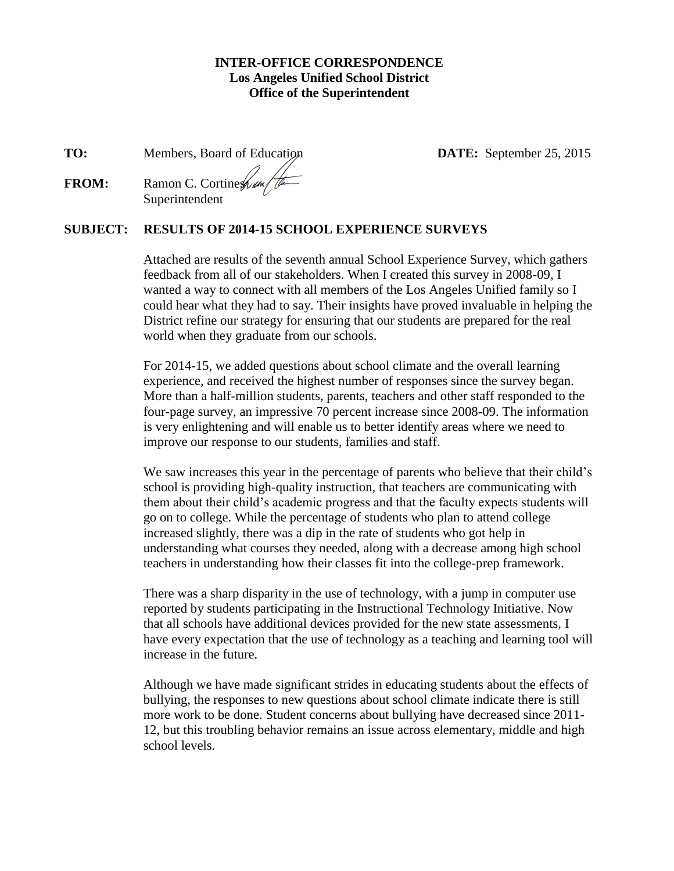#### **INTER-OFFICE CORRESPONDENCE Los Angeles Unified School District Office of the Superintendent**

<span id="page-0-0"></span>**TO:** Members, Board of Education **DATE:** September 25, 2015

**FROM:** Ramon C. Cortines Reserved Superintendent

## **SUBJECT: RESULTS OF 2014-15 SCHOOL EXPERIENCE SURVEYS**

Attached are results of the seventh annual School Experience Survey, which gathers feedback from all of our stakeholders. When I created this survey in 2008-09, I wanted a way to connect with all members of the Los Angeles Unified family so I could hear what they had to say. Their insights have proved invaluable in helping the District refine our strategy for ensuring that our students are prepared for the real world when they graduate from our schools.

For 2014-15, we added questions about school climate and the overall learning experience, and received the highest number of responses since the survey began. More than a half-million students, parents, teachers and other staff responded to the four-page survey, an impressive 70 percent increase since 2008-09. The information is very enlightening and will enable us to better identify areas where we need to improve our response to our students, families and staff.

We saw increases this year in the percentage of parents who believe that their child's school is providing high-quality instruction, that teachers are communicating with them about their child's academic progress and that the faculty expects students will go on to college. While the percentage of students who plan to attend college increased slightly, there was a dip in the rate of students who got help in understanding what courses they needed, along with a decrease among high school teachers in understanding how their classes fit into the college-prep framework.

There was a sharp disparity in the use of technology, with a jump in computer use reported by students participating in the Instructional Technology Initiative. Now that all schools have additional devices provided for the new state assessments, I have every expectation that the use of technology as a teaching and learning tool will increase in the future.

Although we have made significant strides in educating students about the effects of bullying, the responses to new questions about school climate indicate there is still more work to be done. Student concerns about bullying have decreased since 2011- 12, but this troubling behavior remains an issue across elementary, middle and high school levels.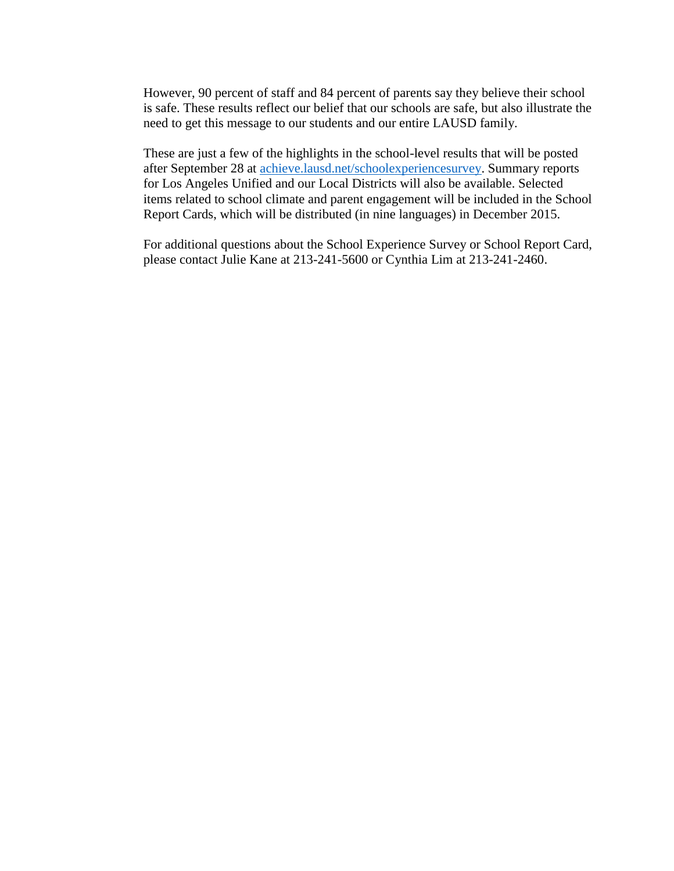However, 90 percent of staff and 84 percent of parents say they believe their school is safe. These results reflect our belief that our schools are safe, but also illustrate the need to get this message to our students and our entire LAUSD family.

These are just a few of the highlights in the school-level results that will be posted after September 28 at [achieve.lausd.net/schoolexperiencesurvey.](#page-0-0) Summary reports for Los Angeles Unified and our Local Districts will also be available. Selected items related to school climate and parent engagement will be included in the School Report Cards, which will be distributed (in nine languages) in December 2015.

For additional questions about the School Experience Survey or School Report Card, please contact Julie Kane at 213-241-5600 or Cynthia Lim at 213-241-2460.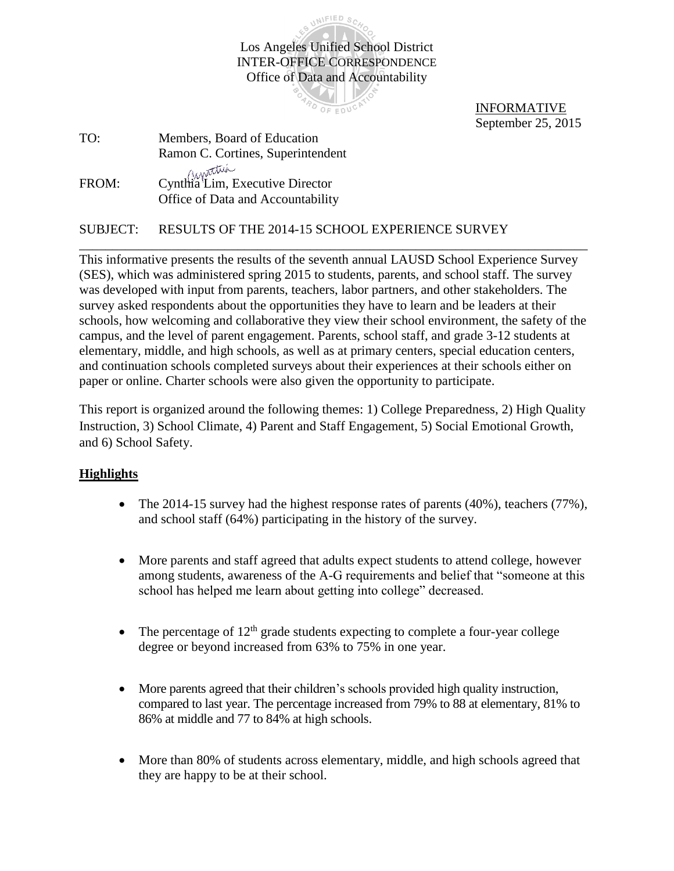Los Angeles Unified School District INTER-OFFICE CORRESPONDENCE Office of Data and Accountability

UNIFIED SCA

**AD OF EDUCA** 

INFORMATIVE September 25, 2015

| TO:   | Members, Board of Education                                          |
|-------|----------------------------------------------------------------------|
|       | Ramon C. Cortines, Superintendent                                    |
| FROM: | Cynthia Lim, Executive Director<br>Office of Data and Accountability |

SUBJECT: RESULTS OF THE 2014-15 SCHOOL EXPERIENCE SURVEY

This informative presents the results of the seventh annual LAUSD School Experience Survey (SES), which was administered spring 2015 to students, parents, and school staff. The survey was developed with input from parents, teachers, labor partners, and other stakeholders. The survey asked respondents about the opportunities they have to learn and be leaders at their schools, how welcoming and collaborative they view their school environment, the safety of the campus, and the level of parent engagement. Parents, school staff, and grade 3-12 students at elementary, middle, and high schools, as well as at primary centers, special education centers, and continuation schools completed surveys about their experiences at their schools either on paper or online. Charter schools were also given the opportunity to participate.

\_\_\_\_\_\_\_\_\_\_\_\_\_\_\_\_\_\_\_\_\_\_\_\_\_\_\_\_\_\_\_\_\_\_\_\_\_\_\_\_\_\_\_\_\_\_\_\_\_\_\_\_\_\_\_\_\_\_\_\_\_\_\_\_\_\_\_\_\_\_\_\_\_\_\_\_\_

This report is organized around the following themes: 1) College Preparedness, 2) High Quality Instruction, 3) School Climate, 4) Parent and Staff Engagement, 5) Social Emotional Growth, and 6) School Safety.

## **Highlights**

- The 2014-15 survey had the highest response rates of parents  $(40\%)$ , teachers  $(77\%)$ , and school staff (64%) participating in the history of the survey.
- More parents and staff agreed that adults expect students to attend college, however among students, awareness of the A-G requirements and belief that "someone at this school has helped me learn about getting into college" decreased.
- The percentage of  $12^{th}$  grade students expecting to complete a four-year college degree or beyond increased from 63% to 75% in one year.
- More parents agreed that their children's schools provided high quality instruction, compared to last year. The percentage increased from 79% to 88 at elementary, 81% to 86% at middle and 77 to 84% at high schools.
- More than 80% of students across elementary, middle, and high schools agreed that they are happy to be at their school.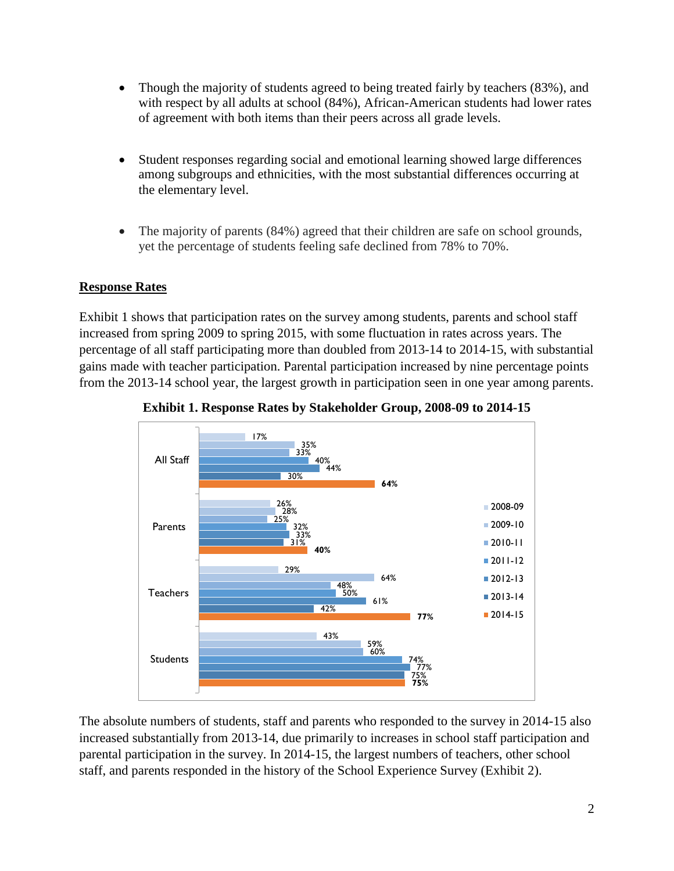- Though the majority of students agreed to being treated fairly by teachers (83%), and with respect by all adults at school (84%), African-American students had lower rates of agreement with both items than their peers across all grade levels.
- Student responses regarding social and emotional learning showed large differences among subgroups and ethnicities, with the most substantial differences occurring at the elementary level.
- The majority of parents (84%) agreed that their children are safe on school grounds, yet the percentage of students feeling safe declined from 78% to 70%.

# **Response Rates**

Exhibit 1 shows that participation rates on the survey among students, parents and school staff increased from spring 2009 to spring 2015, with some fluctuation in rates across years. The percentage of all staff participating more than doubled from 2013-14 to 2014-15, with substantial gains made with teacher participation. Parental participation increased by nine percentage points from the 2013-14 school year, the largest growth in participation seen in one year among parents.





The absolute numbers of students, staff and parents who responded to the survey in 2014-15 also increased substantially from 2013-14, due primarily to increases in school staff participation and parental participation in the survey. In 2014-15, the largest numbers of teachers, other school staff, and parents responded in the history of the School Experience Survey (Exhibit 2).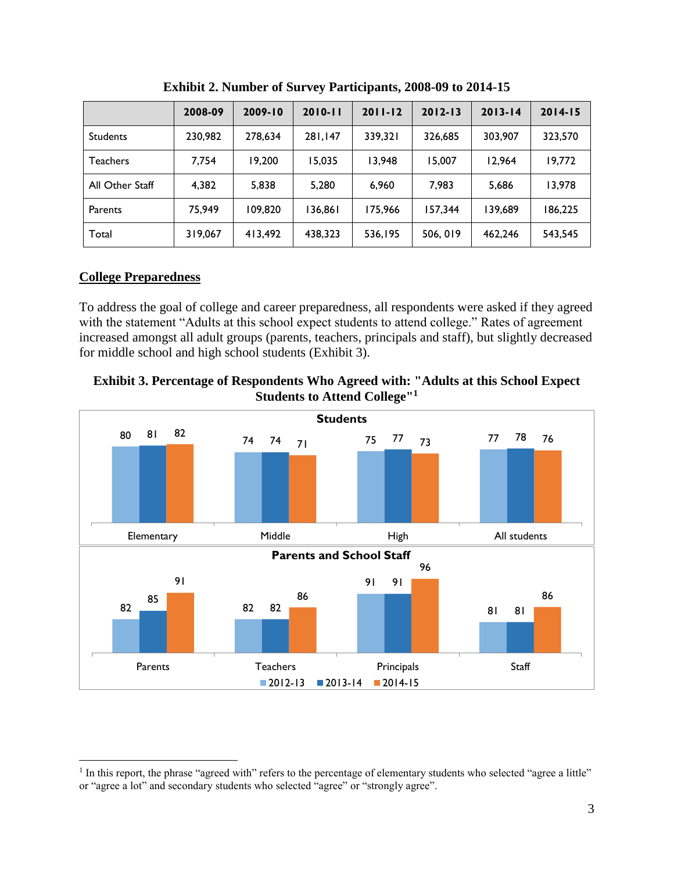|                 | 2008-09 | $2009 - 10$ | $2010 - 11$ | $2011 - 12$ | $2012 - 13$ | $2013 - 14$ | $2014 - 15$ |
|-----------------|---------|-------------|-------------|-------------|-------------|-------------|-------------|
| <b>Students</b> | 230,982 | 278.634     | 281,147     | 339.321     | 326.685     | 303,907     | 323,570     |
| Teachers        | 7.754   | 19.200      | 15,035      | 13.948      | 15.007      | 12.964      | 19.772      |
| All Other Staff | 4.382   | 5.838       | 5.280       | 6.960       | 7.983       | 5,686       | 13.978      |
| Parents         | 75.949  | 109.820     | 136,861     | 175.966     | 157,344     | 139.689     | 186.225     |
| Total           | 319,067 | 413,492     | 438,323     | 536,195     | 506, 019    | 462,246     | 543,545     |

**Exhibit 2. Number of Survey Participants, 2008-09 to 2014-15**

## **College Preparedness**

 $\overline{a}$ 

To address the goal of college and career preparedness, all respondents were asked if they agreed with the statement "Adults at this school expect students to attend college." Rates of agreement increased amongst all adult groups (parents, teachers, principals and staff), but slightly decreased for middle school and high school students (Exhibit 3).





<sup>&</sup>lt;sup>1</sup> In this report, the phrase "agreed with" refers to the percentage of elementary students who selected "agree a little" or "agree a lot" and secondary students who selected "agree" or "strongly agree".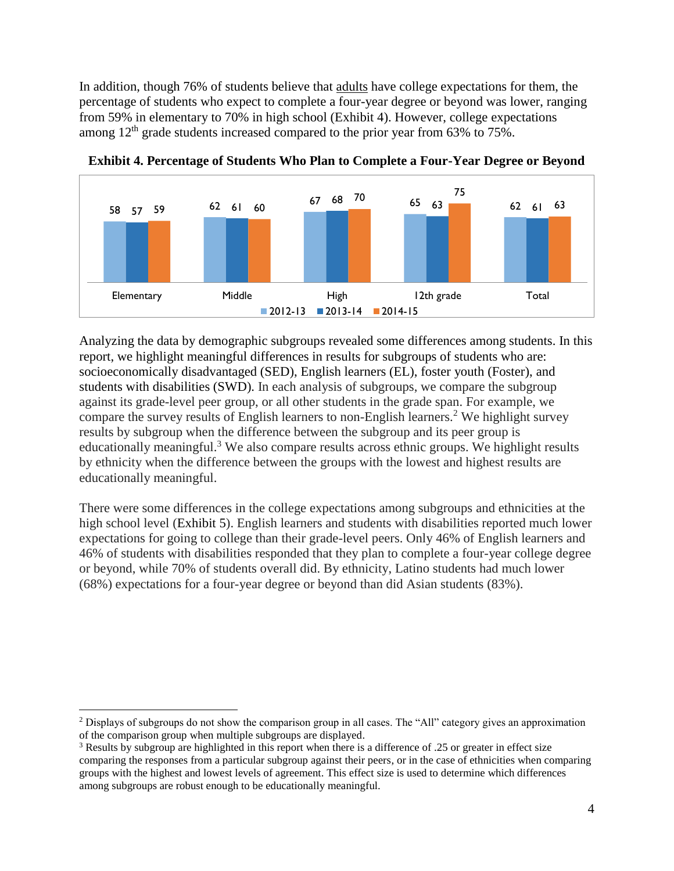In addition, though 76% of students believe that adults have college expectations for them, the percentage of students who expect to complete a four-year degree or beyond was lower, ranging from 59% in elementary to 70% in high school (Exhibit 4). However, college expectations among  $12<sup>th</sup>$  grade students increased compared to the prior year from 63% to 75%.





Analyzing the data by demographic subgroups revealed some differences among students. In this report, we highlight meaningful differences in results for subgroups of students who are: socioeconomically disadvantaged (SED), English learners (EL), foster youth (Foster), and students with disabilities (SWD). In each analysis of subgroups, we compare the subgroup against its grade-level peer group, or all other students in the grade span. For example, we compare the survey results of English learners to non-English learners.<sup>2</sup> We highlight survey results by subgroup when the difference between the subgroup and its peer group is educationally meaningful.<sup>3</sup> We also compare results across ethnic groups. We highlight results by ethnicity when the difference between the groups with the lowest and highest results are educationally meaningful.

There were some differences in the college expectations among subgroups and ethnicities at the high school level (Exhibit 5). English learners and students with disabilities reported much lower expectations for going to college than their grade-level peers. Only 46% of English learners and 46% of students with disabilities responded that they plan to complete a four-year college degree or beyond, while 70% of students overall did. By ethnicity, Latino students had much lower (68%) expectations for a four-year degree or beyond than did Asian students (83%).

 $\overline{a}$ 

<sup>2</sup> Displays of subgroups do not show the comparison group in all cases. The "All" category gives an approximation of the comparison group when multiple subgroups are displayed.

<sup>&</sup>lt;sup>3</sup> Results by subgroup are highlighted in this report when there is a difference of .25 or greater in effect size comparing the responses from a particular subgroup against their peers, or in the case of ethnicities when comparing groups with the highest and lowest levels of agreement. This effect size is used to determine which differences among subgroups are robust enough to be educationally meaningful.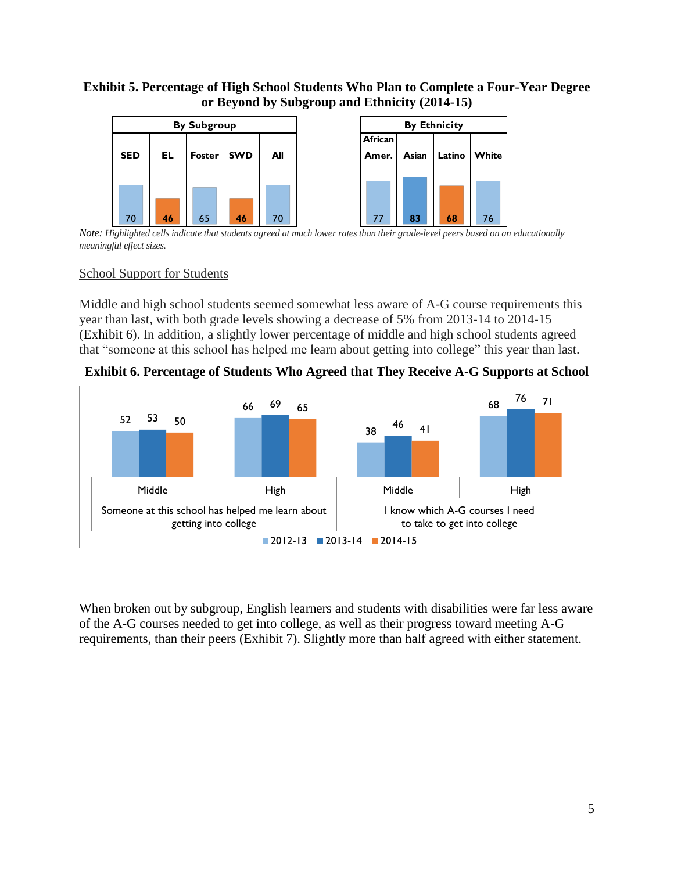### **Exhibit 5. Percentage of High School Students Who Plan to Complete a Four-Year Degree or Beyond by Subgroup and Ethnicity (2014-15)**



*Note: Highlighted cells indicate that students agreed at much lower rates than their grade-level peers based on an educationally meaningful effect sizes.*

#### School Support for Students

Middle and high school students seemed somewhat less aware of A-G course requirements this year than last, with both grade levels showing a decrease of 5% from 2013-14 to 2014-15 (Exhibit 6). In addition, a slightly lower percentage of middle and high school students agreed that "someone at this school has helped me learn about getting into college" this year than last.

<span id="page-6-0"></span>**Exhibit 6. Percentage of Students Who Agreed that They Receive A-G Supports at School**



When broken out by subgroup, English learners and students with disabilities were far less aware of the A-G courses needed to get into college, as well as their progress toward meeting A-G requirements, than their peers (Exhibit 7). Slightly more than half agreed with either statement.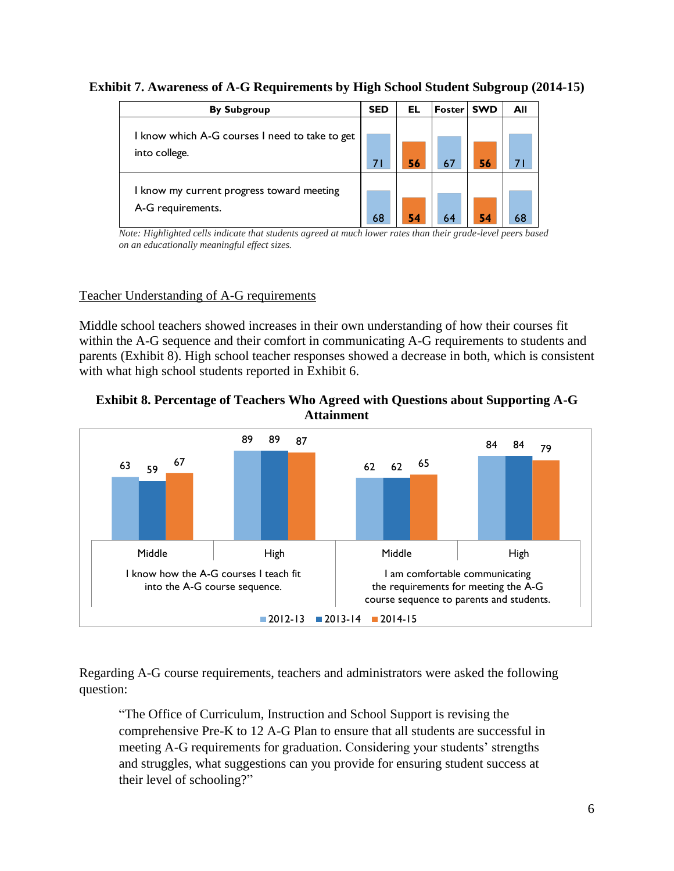| <b>By Subgroup</b>                             | <b>SED</b> | EL | Foster | <b>SWD</b> | All |
|------------------------------------------------|------------|----|--------|------------|-----|
|                                                |            |    |        |            |     |
| I know which A-G courses I need to take to get |            |    |        |            |     |
| into college.                                  | 71         | 56 |        | 56         |     |
| I know my current progress toward meeting      |            |    |        |            |     |
| A-G requirements.                              | 68         | 54 |        | 54         | 68  |

**Exhibit 7. Awareness of A-G Requirements by High School Student Subgroup (2014-15)**

*on an educationally meaningful effect sizes.*

## Teacher Understanding of A-G requirements

Middle school teachers showed increases in their own understanding of how their courses fit within the A-G sequence and their comfort in communicating A-G requirements to students and parents [\(Exhibit 8\)](#page-7-0). High school teacher responses showed a decrease in both, which is consistent with what high school students reported in [Exhibit 6.](#page-6-0)

<span id="page-7-0"></span>



Regarding A-G course requirements, teachers and administrators were asked the following question:

"The Office of Curriculum, Instruction and School Support is revising the comprehensive Pre-K to 12 A-G Plan to ensure that all students are successful in meeting A-G requirements for graduation. Considering your students' strengths and struggles, what suggestions can you provide for ensuring student success at their level of schooling?"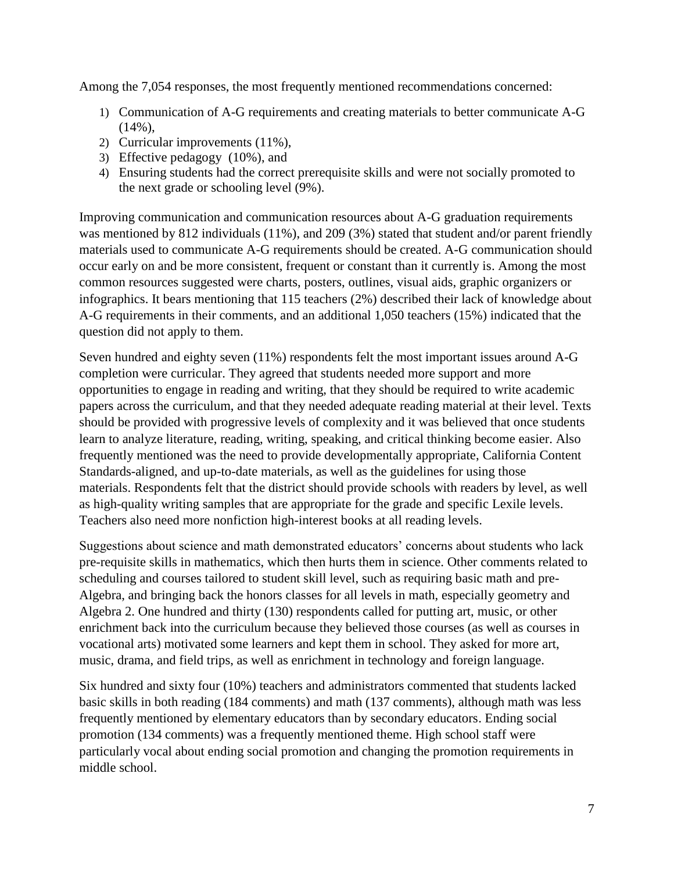Among the 7,054 responses, the most frequently mentioned recommendations concerned:

- 1) Communication of A-G requirements and creating materials to better communicate A-G (14%),
- 2) Curricular improvements (11%),
- 3) Effective pedagogy (10%), and
- 4) Ensuring students had the correct prerequisite skills and were not socially promoted to the next grade or schooling level (9%).

Improving communication and communication resources about A-G graduation requirements was mentioned by 812 individuals (11%), and 209 (3%) stated that student and/or parent friendly materials used to communicate A-G requirements should be created. A-G communication should occur early on and be more consistent, frequent or constant than it currently is. Among the most common resources suggested were charts, posters, outlines, visual aids, graphic organizers or infographics. It bears mentioning that 115 teachers (2%) described their lack of knowledge about A-G requirements in their comments, and an additional 1,050 teachers (15%) indicated that the question did not apply to them.

Seven hundred and eighty seven (11%) respondents felt the most important issues around A-G completion were curricular. They agreed that students needed more support and more opportunities to engage in reading and writing, that they should be required to write academic papers across the curriculum, and that they needed adequate reading material at their level. Texts should be provided with progressive levels of complexity and it was believed that once students learn to analyze literature, reading, writing, speaking, and critical thinking become easier. Also frequently mentioned was the need to provide developmentally appropriate, California Content Standards-aligned, and up-to-date materials, as well as the guidelines for using those materials. Respondents felt that the district should provide schools with readers by level, as well as high-quality writing samples that are appropriate for the grade and specific Lexile levels. Teachers also need more nonfiction high-interest books at all reading levels.

Suggestions about science and math demonstrated educators' concerns about students who lack pre-requisite skills in mathematics, which then hurts them in science. Other comments related to scheduling and courses tailored to student skill level, such as requiring basic math and pre-Algebra, and bringing back the honors classes for all levels in math, especially geometry and Algebra 2. One hundred and thirty (130) respondents called for putting art, music, or other enrichment back into the curriculum because they believed those courses (as well as courses in vocational arts) motivated some learners and kept them in school. They asked for more art, music, drama, and field trips, as well as enrichment in technology and foreign language.

Six hundred and sixty four (10%) teachers and administrators commented that students lacked basic skills in both reading (184 comments) and math (137 comments), although math was less frequently mentioned by elementary educators than by secondary educators. Ending social promotion (134 comments) was a frequently mentioned theme. High school staff were particularly vocal about ending social promotion and changing the promotion requirements in middle school.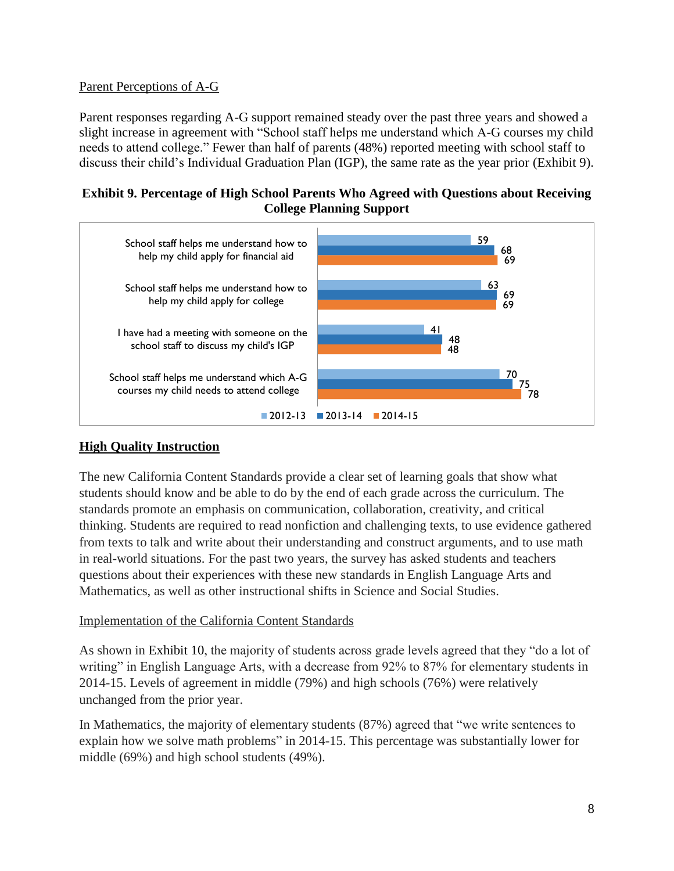## Parent Perceptions of A-G

Parent responses regarding A-G support remained steady over the past three years and showed a slight increase in agreement with "School staff helps me understand which A-G courses my child needs to attend college." Fewer than half of parents (48%) reported meeting with school staff to discuss their child's Individual Graduation Plan (IGP), the same rate as the year prior [\(Exhibit 9\)](#page-9-0).

### <span id="page-9-0"></span>**Exhibit 9. Percentage of High School Parents Who Agreed with Questions about Receiving College Planning Support**



## **High Quality Instruction**

The new California Content Standards provide a clear set of learning goals that show what students should know and be able to do by the end of each grade across the curriculum. The standards promote an emphasis on communication, collaboration, creativity, and critical thinking. Students are required to read nonfiction and challenging texts, to use evidence gathered from texts to talk and write about their understanding and construct arguments, and to use math in real-world situations. For the past two years, the survey has asked students and teachers questions about their experiences with these new standards in English Language Arts and Mathematics, as well as other instructional shifts in Science and Social Studies.

## Implementation of the California Content Standards

As shown in [Exhibit 10,](#page-10-0) the majority of students across grade levels agreed that they "do a lot of writing" in English Language Arts, with a decrease from 92% to 87% for elementary students in 2014-15. Levels of agreement in middle (79%) and high schools (76%) were relatively unchanged from the prior year.

In Mathematics, the majority of elementary students (87%) agreed that "we write sentences to explain how we solve math problems" in 2014-15. This percentage was substantially lower for middle (69%) and high school students (49%).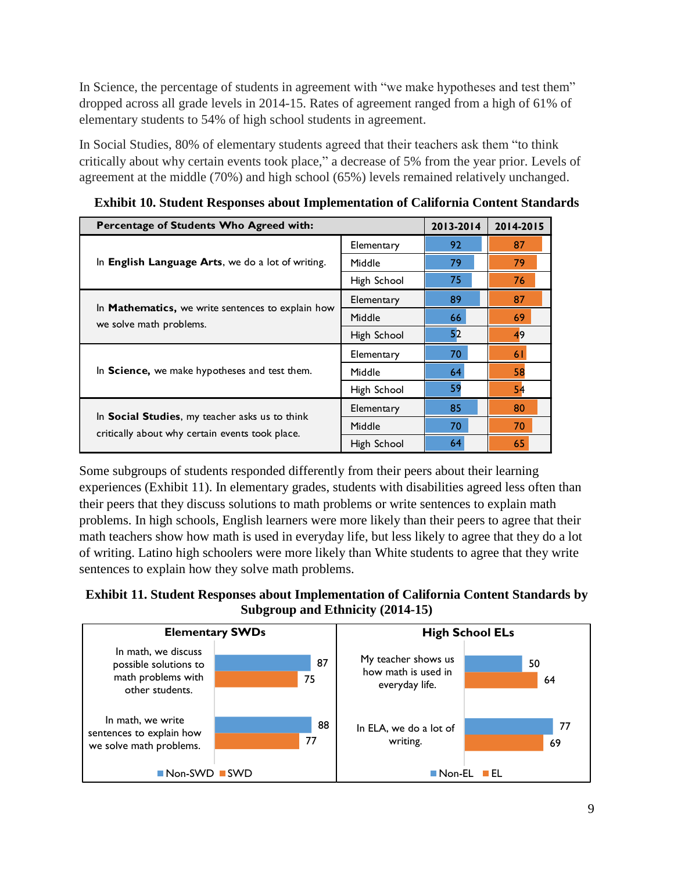In Science, the percentage of students in agreement with "we make hypotheses and test them" dropped across all grade levels in 2014-15. Rates of agreement ranged from a high of 61% of elementary students to 54% of high school students in agreement.

In Social Studies, 80% of elementary students agreed that their teachers ask them "to think critically about why certain events took place," a decrease of 5% from the year prior. Levels of agreement at the middle (70%) and high school (65%) levels remained relatively unchanged.

<span id="page-10-0"></span>

| <b>Exhibit 10. Student Responses about Implementation of California Content Standards</b>                 |             |           |    |  |  |  |  |
|-----------------------------------------------------------------------------------------------------------|-------------|-----------|----|--|--|--|--|
| Percentage of Students Who Agreed with:                                                                   | 2013-2014   | 2014-2015 |    |  |  |  |  |
|                                                                                                           | Elementary  | 92        | 87 |  |  |  |  |
| In English Language Arts, we do a lot of writing.                                                         | Middle      | 79        | 79 |  |  |  |  |
|                                                                                                           | High School | 75        | 76 |  |  |  |  |
| In <b>Mathematics</b> , we write sentences to explain how<br>we solve math problems.                      | Elementary  | 89        | 87 |  |  |  |  |
|                                                                                                           | Middle      | 66        | 69 |  |  |  |  |
|                                                                                                           | High School | 52        | 49 |  |  |  |  |
|                                                                                                           | Elementary  | 70        | 61 |  |  |  |  |
| In Science, we make hypotheses and test them.                                                             | Middle      | 64        | 58 |  |  |  |  |
|                                                                                                           | High School | 59        | 54 |  |  |  |  |
|                                                                                                           | Elementary  | 85        | 80 |  |  |  |  |
| In <b>Social Studies</b> , my teacher asks us to think<br>critically about why certain events took place. | Middle      | 70        | 70 |  |  |  |  |
|                                                                                                           | High School | 64        | 65 |  |  |  |  |

Some subgroups of students responded differently from their peers about their learning experiences [\(Exhibit 11\)](#page-10-1). In elementary grades, students with disabilities agreed less often than their peers that they discuss solutions to math problems or write sentences to explain math problems. In high schools, English learners were more likely than their peers to agree that their math teachers show how math is used in everyday life, but less likely to agree that they do a lot of writing. Latino high schoolers were more likely than White students to agree that they write sentences to explain how they solve math problems.

# <span id="page-10-1"></span>**Exhibit 11. Student Responses about Implementation of California Content Standards by Subgroup and Ethnicity (2014-15)**

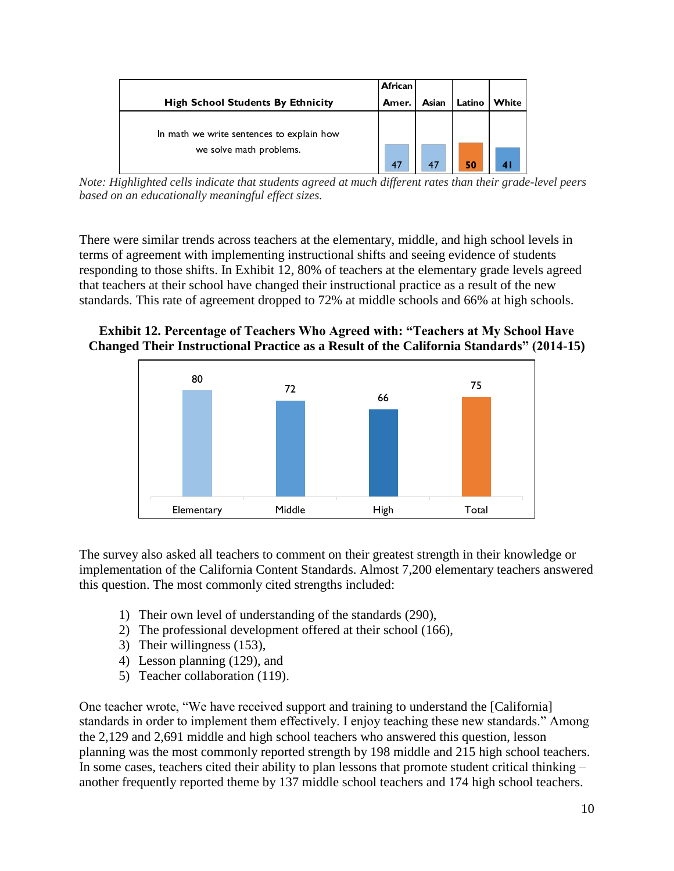|                                                                      | <b>African</b> |       |        |       |
|----------------------------------------------------------------------|----------------|-------|--------|-------|
| <b>High School Students By Ethnicity</b>                             | Amer.          | Asian | Latino | White |
| In math we write sentences to explain how<br>we solve math problems. |                |       |        |       |
|                                                                      | 47             | 47    | 50     |       |

*based on an educationally meaningful effect sizes.*

There were similar trends across teachers at the elementary, middle, and high school levels in terms of agreement with implementing instructional shifts and seeing evidence of students responding to those shifts. In Exhibit 12, 80% of teachers at the elementary grade levels agreed that teachers at their school have changed their instructional practice as a result of the new standards. This rate of agreement dropped to 72% at middle schools and 66% at high schools.

## **Exhibit 12. Percentage of Teachers Who Agreed with: "Teachers at My School Have Changed Their Instructional Practice as a Result of the California Standards" (2014-15)**



The survey also asked all teachers to comment on their greatest strength in their knowledge or implementation of the California Content Standards. Almost 7,200 elementary teachers answered this question. The most commonly cited strengths included:

- 1) Their own level of understanding of the standards (290),
- 2) The professional development offered at their school (166),
- 3) Their willingness (153),
- 4) Lesson planning (129), and
- 5) Teacher collaboration (119).

One teacher wrote, "We have received support and training to understand the [California] standards in order to implement them effectively. I enjoy teaching these new standards." Among the 2,129 and 2,691 middle and high school teachers who answered this question, lesson planning was the most commonly reported strength by 198 middle and 215 high school teachers. In some cases, teachers cited their ability to plan lessons that promote student critical thinking – another frequently reported theme by 137 middle school teachers and 174 high school teachers.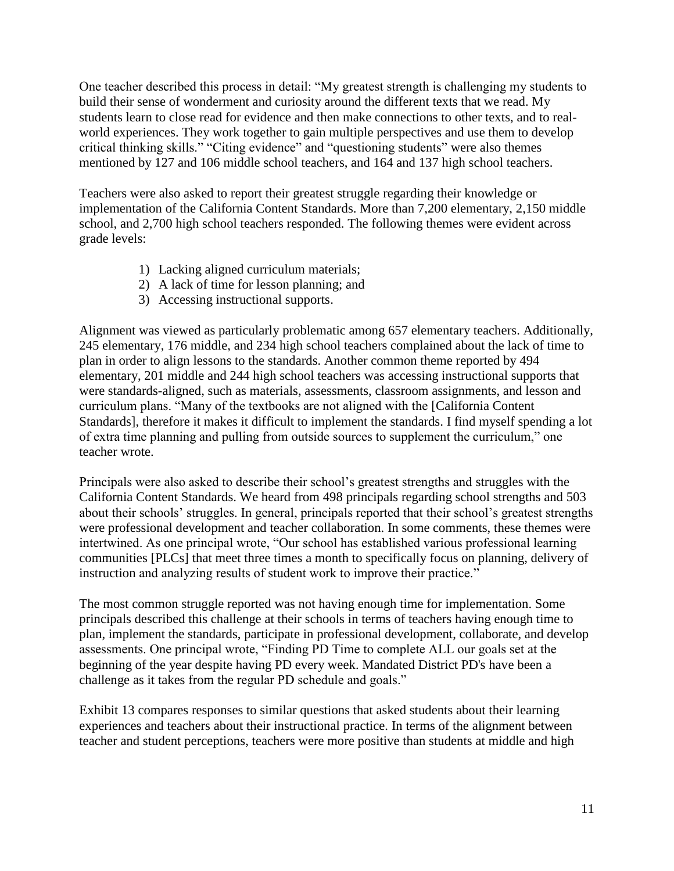One teacher described this process in detail: "My greatest strength is challenging my students to build their sense of wonderment and curiosity around the different texts that we read. My students learn to close read for evidence and then make connections to other texts, and to realworld experiences. They work together to gain multiple perspectives and use them to develop critical thinking skills." "Citing evidence" and "questioning students" were also themes mentioned by 127 and 106 middle school teachers, and 164 and 137 high school teachers.

Teachers were also asked to report their greatest struggle regarding their knowledge or implementation of the California Content Standards. More than 7,200 elementary, 2,150 middle school, and 2,700 high school teachers responded. The following themes were evident across grade levels:

- 1) Lacking aligned curriculum materials;
- 2) A lack of time for lesson planning; and
- 3) Accessing instructional supports.

Alignment was viewed as particularly problematic among 657 elementary teachers. Additionally, 245 elementary, 176 middle, and 234 high school teachers complained about the lack of time to plan in order to align lessons to the standards. Another common theme reported by 494 elementary, 201 middle and 244 high school teachers was accessing instructional supports that were standards-aligned, such as materials, assessments, classroom assignments, and lesson and curriculum plans. "Many of the textbooks are not aligned with the [California Content Standards], therefore it makes it difficult to implement the standards. I find myself spending a lot of extra time planning and pulling from outside sources to supplement the curriculum," one teacher wrote.

Principals were also asked to describe their school's greatest strengths and struggles with the California Content Standards. We heard from 498 principals regarding school strengths and 503 about their schools' struggles. In general, principals reported that their school's greatest strengths were professional development and teacher collaboration. In some comments, these themes were intertwined. As one principal wrote, "Our school has established various professional learning communities [PLCs] that meet three times a month to specifically focus on planning, delivery of instruction and analyzing results of student work to improve their practice."

The most common struggle reported was not having enough time for implementation. Some principals described this challenge at their schools in terms of teachers having enough time to plan, implement the standards, participate in professional development, collaborate, and develop assessments. One principal wrote, "Finding PD Time to complete ALL our goals set at the beginning of the year despite having PD every week. Mandated District PD's have been a challenge as it takes from the regular PD schedule and goals."

[Exhibit 13](#page-13-0) compares responses to similar questions that asked students about their learning experiences and teachers about their instructional practice. In terms of the alignment between teacher and student perceptions, teachers were more positive than students at middle and high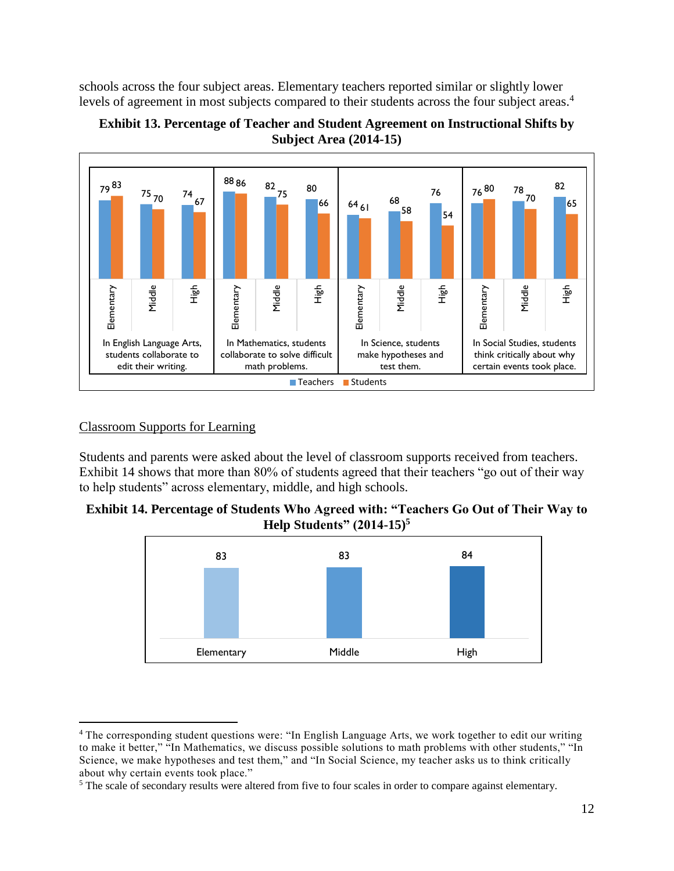schools across the four subject areas. Elementary teachers reported similar or slightly lower levels of agreement in most subjects compared to their students across the four subject areas.<sup>4</sup>



<span id="page-13-0"></span>

## Classroom Supports for Learning

 $\overline{a}$ 

Students and parents were asked about the level of classroom supports received from teachers. [Exhibit 14](#page-13-1) shows that more than 80% of students agreed that their teachers "go out of their way to help students" across elementary, middle, and high schools.

<span id="page-13-1"></span>



<sup>4</sup> The corresponding student questions were: "In English Language Arts, we work together to edit our writing to make it better," "In Mathematics, we discuss possible solutions to math problems with other students," "In Science, we make hypotheses and test them," and "In Social Science, my teacher asks us to think critically about why certain events took place."

<sup>&</sup>lt;sup>5</sup> The scale of secondary results were altered from five to four scales in order to compare against elementary.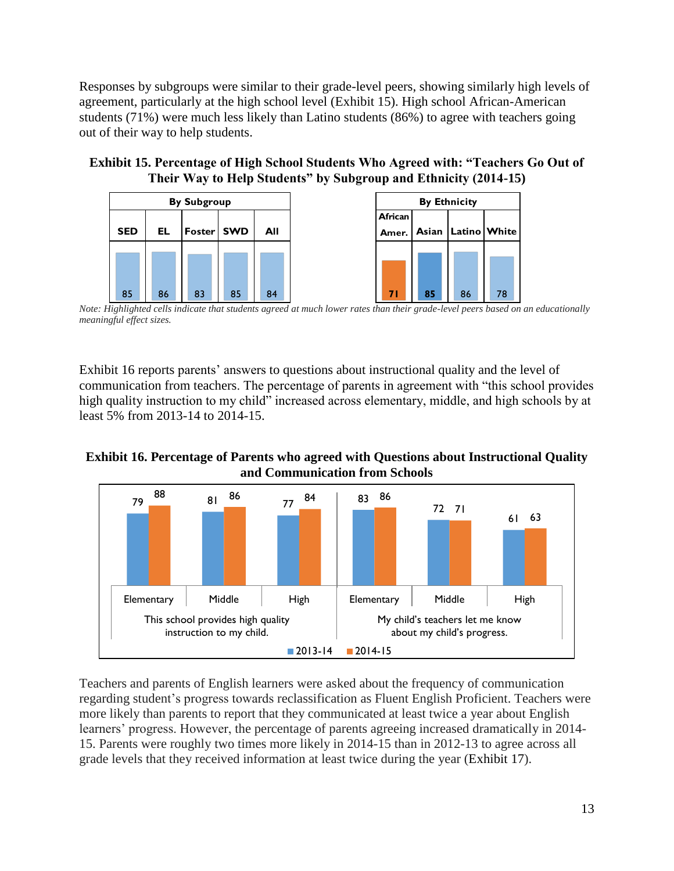Responses by subgroups were similar to their grade-level peers, showing similarly high levels of agreement, particularly at the high school level [\(Exhibit 15\)](#page-14-0). High school African-American students (71%) were much less likely than Latino students (86%) to agree with teachers going out of their way to help students.

<span id="page-14-0"></span>**Exhibit 15. Percentage of High School Students Who Agreed with: "Teachers Go Out of Their Way to Help Students" by Subgroup and Ethnicity (2014-15)**



 *Note: Highlighted cells indicate that students agreed at much lower rates than their grade-level peers based on an educationally meaningful effect sizes.*

[Exhibit](#page-14-1) 16 reports parents' answers to questions about instructional quality and the level of communication from teachers. The percentage of parents in agreement with "this school provides high quality instruction to my child" increased across elementary, middle, and high schools by at least 5% from 2013-14 to 2014-15.

<span id="page-14-1"></span>**Exhibit 16. Percentage of Parents who agreed with Questions about Instructional Quality and Communication from Schools**



Teachers and parents of English learners were asked about the frequency of communication regarding student's progress towards reclassification as Fluent English Proficient. Teachers were more likely than parents to report that they communicated at least twice a year about English learners' progress. However, the percentage of parents agreeing increased dramatically in 2014- 15. Parents were roughly two times more likely in 2014-15 than in 2012-13 to agree across all grade levels that they received information at least twice during the year [\(Exhibit 17\)](#page-15-0).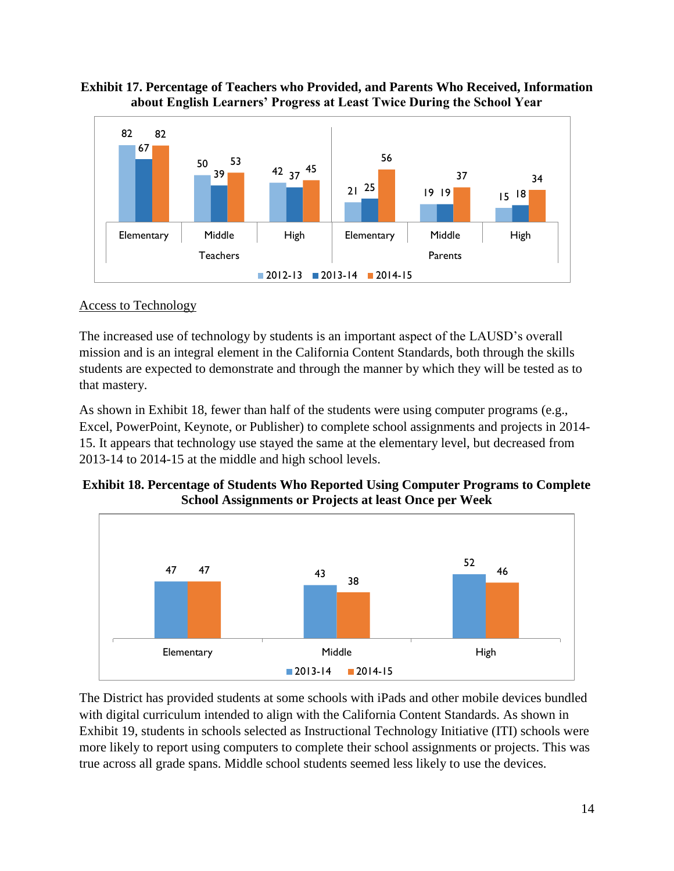## <span id="page-15-0"></span>**Exhibit 17. Percentage of Teachers who Provided, and Parents Who Received, Information about English Learners' Progress at Least Twice During the School Year**



## Access to Technology

The increased use of technology by students is an important aspect of the LAUSD's overall mission and is an integral element in the California Content Standards, both through the skills students are expected to demonstrate and through the manner by which they will be tested as to that mastery.

As shown in [Exhibit 18,](#page-15-1) fewer than half of the students were using computer programs (e.g., Excel, PowerPoint, Keynote, or Publisher) to complete school assignments and projects in 2014- 15. It appears that technology use stayed the same at the elementary level, but decreased from 2013-14 to 2014-15 at the middle and high school levels.

## <span id="page-15-1"></span>**Exhibit 18. Percentage of Students Who Reported Using Computer Programs to Complete School Assignments or Projects at least Once per Week**



The District has provided students at some schools with iPads and other mobile devices bundled with digital curriculum intended to align with the California Content Standards. As shown in [Exhibit 19,](#page-16-0) students in schools selected as Instructional Technology Initiative (ITI) schools were more likely to report using computers to complete their school assignments or projects. This was true across all grade spans. Middle school students seemed less likely to use the devices.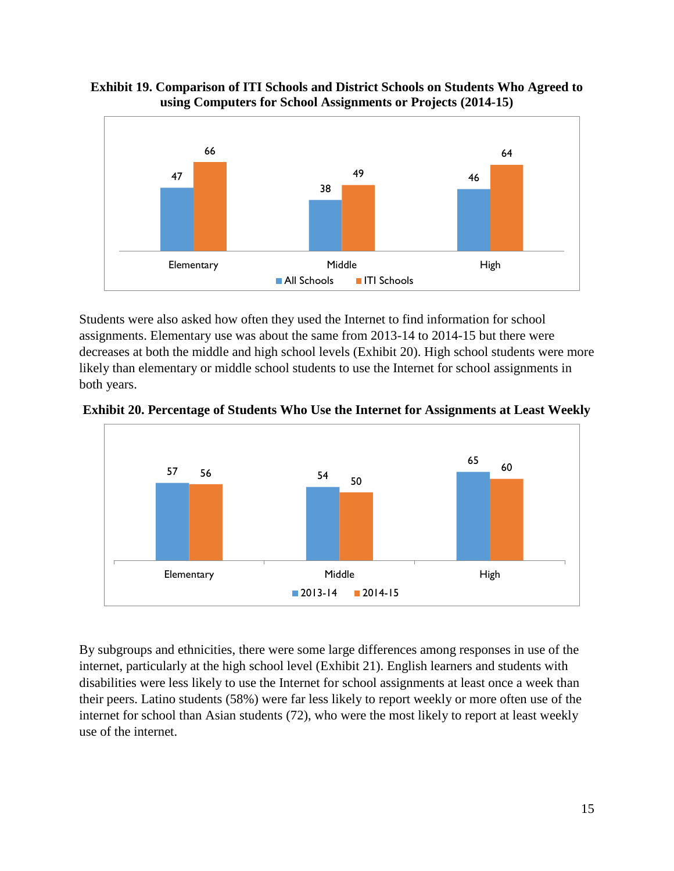#### <span id="page-16-0"></span>**Exhibit 19. Comparison of ITI Schools and District Schools on Students Who Agreed to using Computers for School Assignments or Projects (2014-15)**



Students were also asked how often they used the Internet to find information for school assignments. Elementary use was about the same from 2013-14 to 2014-15 but there were decreases at both the middle and high school levels [\(Exhibit 20\)](#page-16-1). High school students were more likely than elementary or middle school students to use the Internet for school assignments in both years.



<span id="page-16-1"></span>**Exhibit 20. Percentage of Students Who Use the Internet for Assignments at Least Weekly**

By subgroups and ethnicities, there were some large differences among responses in use of the internet, particularly at the high school level [\(Exhibit 21\)](#page-17-0). English learners and students with disabilities were less likely to use the Internet for school assignments at least once a week than their peers. Latino students (58%) were far less likely to report weekly or more often use of the internet for school than Asian students (72), who were the most likely to report at least weekly use of the internet.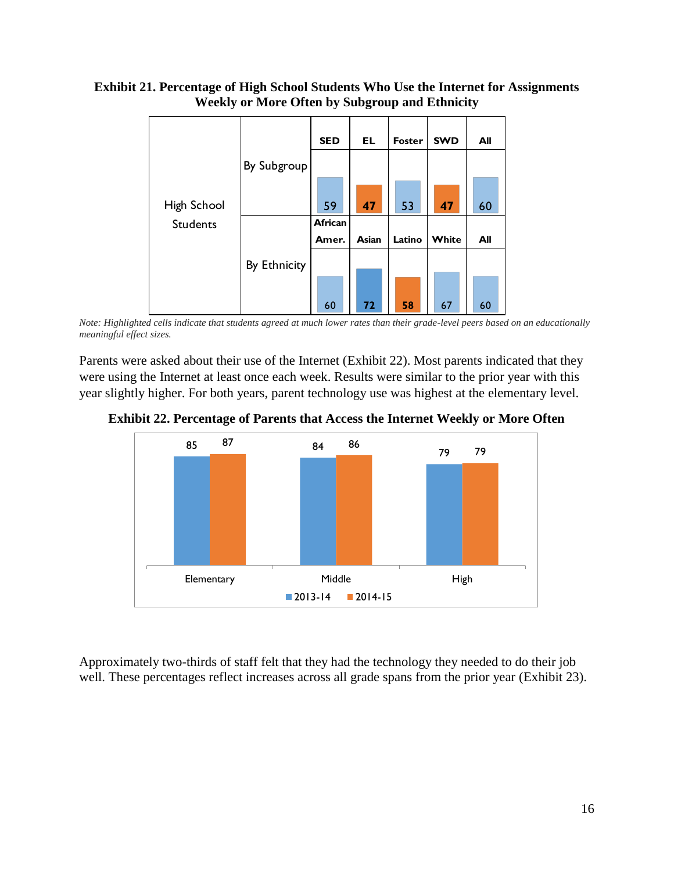#### <span id="page-17-0"></span>**Exhibit 21. Percentage of High School Students Who Use the Internet for Assignments Weekly or More Often by Subgroup and Ethnicity**



*Note: Highlighted cells indicate that students agreed at much lower rates than their grade-level peers based on an educationally meaningful effect sizes.*

Parents were asked about their use of the Internet [\(Exhibit 22\)](#page-17-1). Most parents indicated that they were using the Internet at least once each week. Results were similar to the prior year with this year slightly higher. For both years, parent technology use was highest at the elementary level.

<span id="page-17-1"></span>**Exhibit 22. Percentage of Parents that Access the Internet Weekly or More Often**



Approximately two-thirds of staff felt that they had the technology they needed to do their job well. These percentages reflect increases across all grade spans from the prior year [\(Exhibit 23\)](#page-18-0).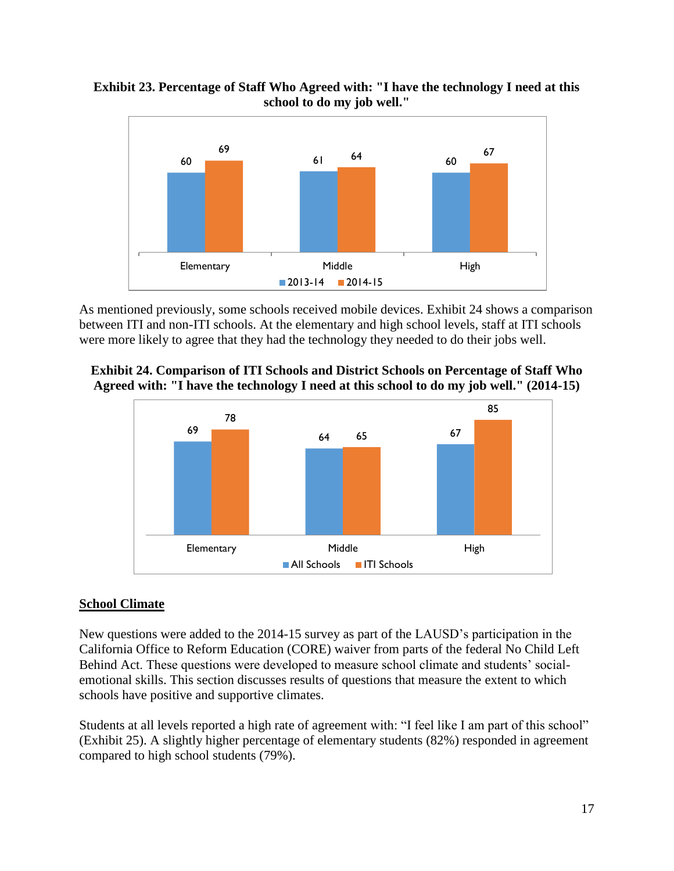<span id="page-18-0"></span>



As mentioned previously, some schools received mobile devices. [Exhibit 24](#page-18-1) shows a comparison between ITI and non-ITI schools. At the elementary and high school levels, staff at ITI schools were more likely to agree that they had the technology they needed to do their jobs well.

<span id="page-18-1"></span>



## **School Climate**

New questions were added to the 2014-15 survey as part of the LAUSD's participation in the California Office to Reform Education (CORE) waiver from parts of the federal No Child Left Behind Act. These questions were developed to measure school climate and students' socialemotional skills. This section discusses results of questions that measure the extent to which schools have positive and supportive climates.

Students at all levels reported a high rate of agreement with: "I feel like I am part of this school" [\(Exhibit 25\)](#page-19-0). A slightly higher percentage of elementary students (82%) responded in agreement compared to high school students (79%).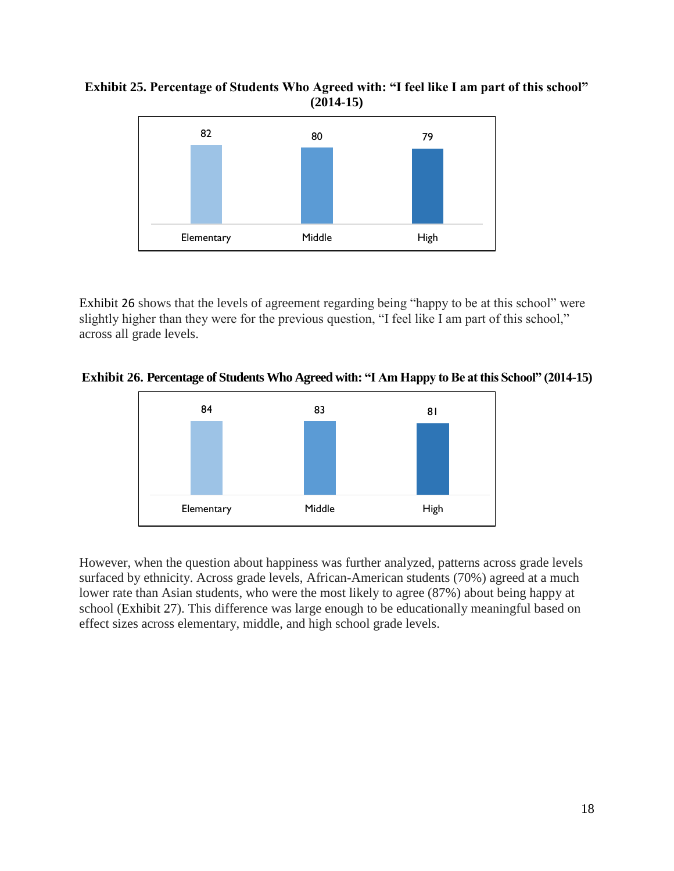#### <span id="page-19-0"></span>**Exhibit 25. Percentage of Students Who Agreed with: "I feel like I am part of this school" (2014-15)**



[Exhibit](#page-19-1) 26 shows that the levels of agreement regarding being "happy to be at this school" were slightly higher than they were for the previous question, "I feel like I am part of this school," across all grade levels.

## <span id="page-19-1"></span>**Exhibit 26. Percentage of Students Who Agreed with: "I Am Happy to Be at this School" (2014-15)**



However, when the question about happiness was further analyzed, patterns across grade levels surfaced by ethnicity. Across grade levels, African-American students (70%) agreed at a much lower rate than Asian students, who were the most likely to agree (87%) about being happy at school [\(Exhibit 27\)](#page-20-0). This difference was large enough to be educationally meaningful based on effect sizes across elementary, middle, and high school grade levels.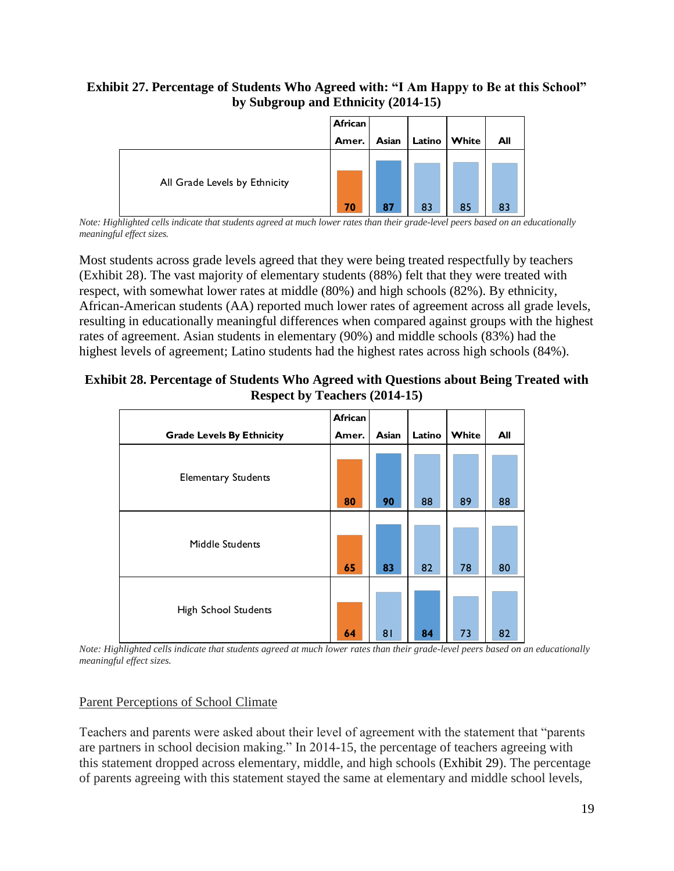## <span id="page-20-0"></span>**Exhibit 27. Percentage of Students Who Agreed with: "I Am Happy to Be at this School" by Subgroup and Ethnicity (2014-15)**



*Note: Highlighted cells indicate that students agreed at much lower rates than their grade-level peers based on an educationally meaningful effect sizes.*

Most students across grade levels agreed that they were being treated respectfully by teachers [\(Exhibit 28\)](#page-20-1). The vast majority of elementary students (88%) felt that they were treated with respect, with somewhat lower rates at middle (80%) and high schools (82%). By ethnicity, African-American students (AA) reported much lower rates of agreement across all grade levels, resulting in educationally meaningful differences when compared against groups with the highest rates of agreement. Asian students in elementary (90%) and middle schools (83%) had the highest levels of agreement; Latino students had the highest rates across high schools (84%).

## <span id="page-20-1"></span>**Exhibit 28. Percentage of Students Who Agreed with Questions about Being Treated with Respect by Teachers (2014-15)**

|                                  | African |       |                           |       |                                    |
|----------------------------------|---------|-------|---------------------------|-------|------------------------------------|
| <b>Grade Levels By Ethnicity</b> | Amer.   | Asian | Latino                    | White | All                                |
| <b>Elementary Students</b>       | 80      | 90    | 88                        | 89    | 88                                 |
| Middle Students                  | 65      | 83    | 82                        | 78    | 80                                 |
| High School Students             | 64      | 81    | 84<br>$1 \t1 \t1 \t1 \t1$ | 73    | 82<br>$\mathbf{I}$<br>$\mathbf{r}$ |

*Note: Highlighted cells indicate that students agreed at much lower rates than their grade-level peers based on an educationally meaningful effect sizes.*

# Parent Perceptions of School Climate

Teachers and parents were asked about their level of agreement with the statement that "parents are partners in school decision making." In 2014-15, the percentage of teachers agreeing with this statement dropped across elementary, middle, and high schools [\(Exhibit 29\)](#page-21-0). The percentage of parents agreeing with this statement stayed the same at elementary and middle school levels,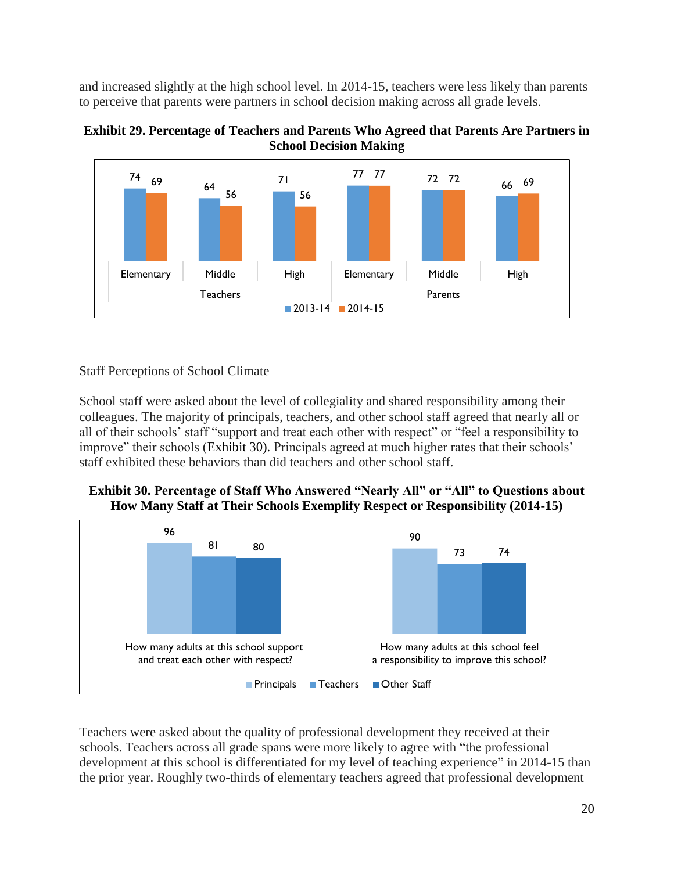and increased slightly at the high school level. In 2014-15, teachers were less likely than parents to perceive that parents were partners in school decision making across all grade levels.

<span id="page-21-0"></span>



## Staff Perceptions of School Climate

School staff were asked about the level of collegiality and shared responsibility among their colleagues. The majority of principals, teachers, and other school staff agreed that nearly all or all of their schools' staff "support and treat each other with respect" or "feel a responsibility to improve" their schools [\(Exhibit 30\)](#page-21-1). Principals agreed at much higher rates that their schools' staff exhibited these behaviors than did teachers and other school staff.

<span id="page-21-1"></span>**Exhibit 30. Percentage of Staff Who Answered "Nearly All" or "All" to Questions about How Many Staff at Their Schools Exemplify Respect or Responsibility (2014-15)**



Teachers were asked about the quality of professional development they received at their schools. Teachers across all grade spans were more likely to agree with "the professional development at this school is differentiated for my level of teaching experience" in 2014-15 than the prior year. Roughly two-thirds of elementary teachers agreed that professional development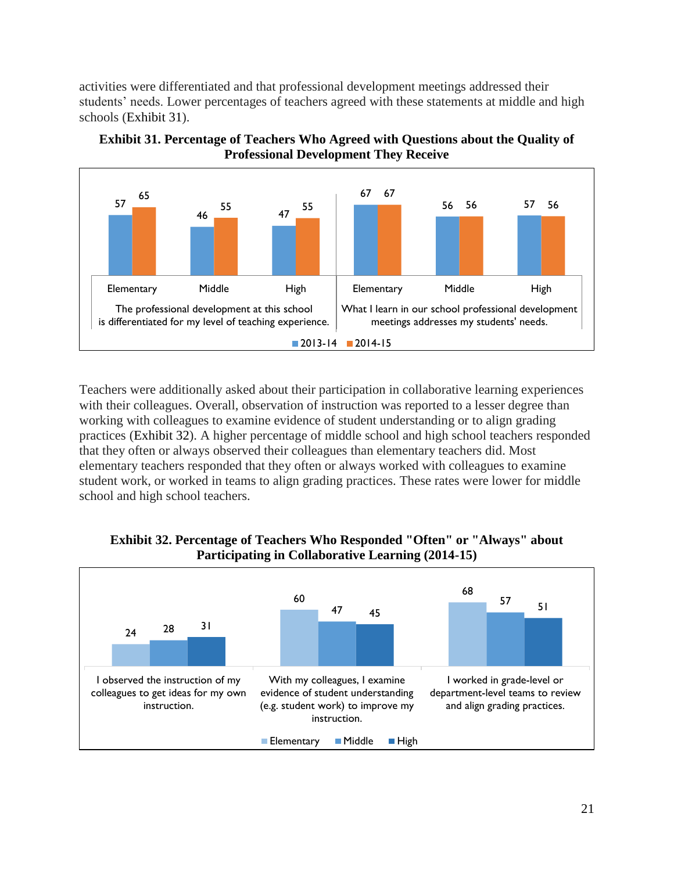activities were differentiated and that professional development meetings addressed their students' needs. Lower percentages of teachers agreed with these statements at middle and high schools [\(Exhibit 31\)](#page-22-0).



<span id="page-22-0"></span>**Exhibit 31. Percentage of Teachers Who Agreed with Questions about the Quality of Professional Development They Receive**

Teachers were additionally asked about their participation in collaborative learning experiences with their colleagues. Overall, observation of instruction was reported to a lesser degree than working with colleagues to examine evidence of student understanding or to align grading practices [\(Exhibit 32\)](#page-22-1). A higher percentage of middle school and high school teachers responded that they often or always observed their colleagues than elementary teachers did. Most elementary teachers responded that they often or always worked with colleagues to examine student work, or worked in teams to align grading practices. These rates were lower for middle school and high school teachers.

<span id="page-22-1"></span>

**Exhibit 32. Percentage of Teachers Who Responded "Often" or "Always" about Participating in Collaborative Learning (2014-15)**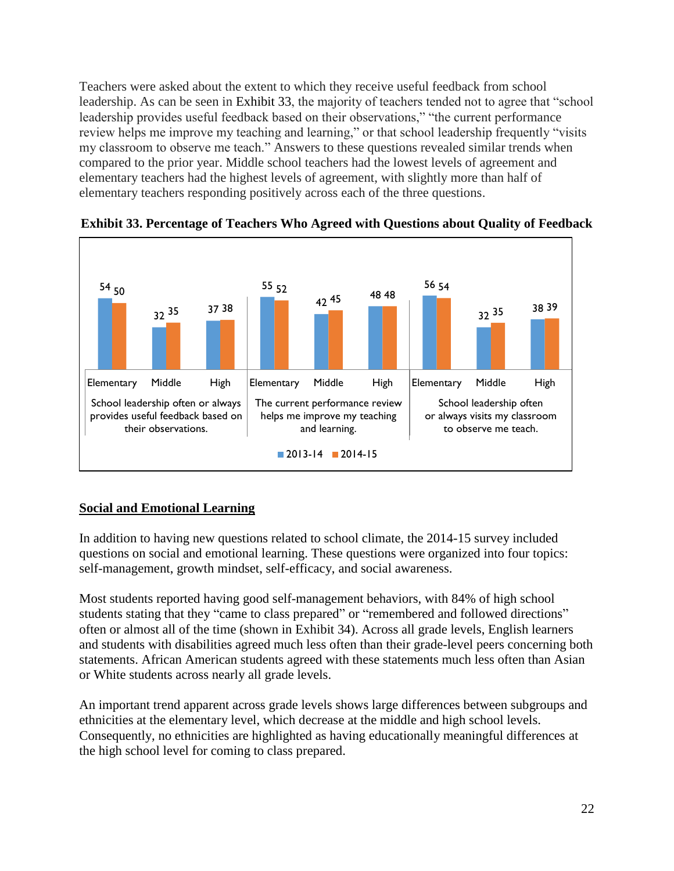Teachers were asked about the extent to which they receive useful feedback from school leadership. As can be seen in [Exhibit 33,](#page-23-0) the majority of teachers tended not to agree that "school leadership provides useful feedback based on their observations," "the current performance review helps me improve my teaching and learning," or that school leadership frequently "visits my classroom to observe me teach." Answers to these questions revealed similar trends when compared to the prior year. Middle school teachers had the lowest levels of agreement and elementary teachers had the highest levels of agreement, with slightly more than half of elementary teachers responding positively across each of the three questions.



<span id="page-23-0"></span>**Exhibit 33. Percentage of Teachers Who Agreed with Questions about Quality of Feedback**

# **Social and Emotional Learning**

In addition to having new questions related to school climate, the 2014-15 survey included questions on social and emotional learning. These questions were organized into four topics: self-management, growth mindset, self-efficacy, and social awareness.

Most students reported having good self-management behaviors, with 84% of high school students stating that they "came to class prepared" or "remembered and followed directions" often or almost all of the time (shown in [Exhibit 34\)](#page-24-0). Across all grade levels, English learners and students with disabilities agreed much less often than their grade-level peers concerning both statements. African American students agreed with these statements much less often than Asian or White students across nearly all grade levels.

An important trend apparent across grade levels shows large differences between subgroups and ethnicities at the elementary level, which decrease at the middle and high school levels. Consequently, no ethnicities are highlighted as having educationally meaningful differences at the high school level for coming to class prepared.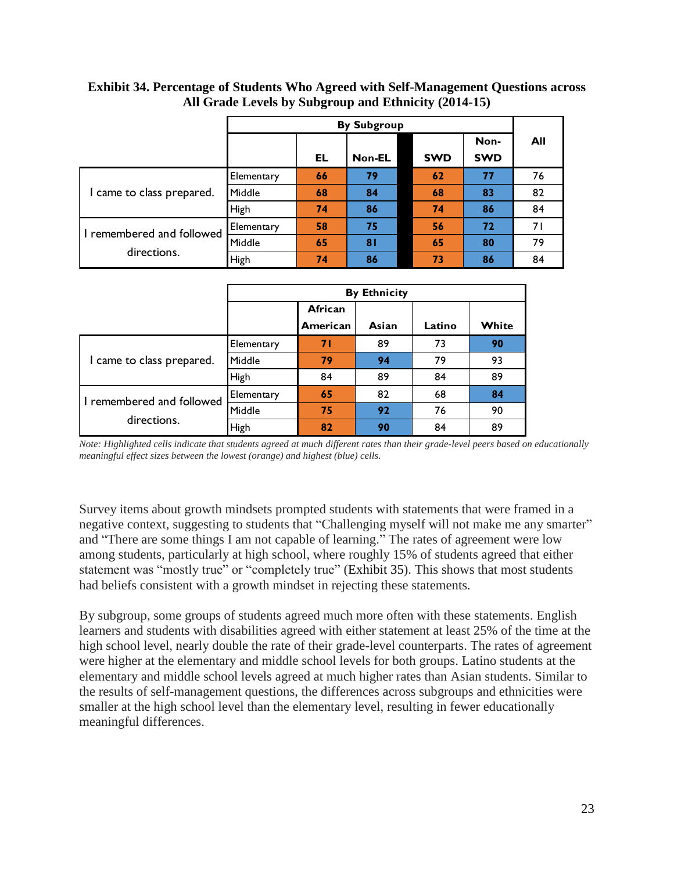|            |    |    |               | Non-                             | All        |
|------------|----|----|---------------|----------------------------------|------------|
|            |    |    |               |                                  |            |
| Elementary | 66 | 79 | 62            | 77                               | 76         |
| Middle     | 68 | 84 | 68            | 83                               | 82         |
| High       | 74 | 86 | 74            | 86                               | 84         |
| Elementary | 58 | 75 | 56            | 72                               | 71         |
| Middle     | 65 | 81 | 65            | 80                               | 79         |
| High       | 74 | 86 | 73            | 86                               | 84         |
|            |    | EL | <b>Non-EL</b> | <b>By Subgroup</b><br><b>SWD</b> | <b>SWD</b> |

<span id="page-24-0"></span>**Exhibit 34. Percentage of Students Who Agreed with Self-Management Questions across All Grade Levels by Subgroup and Ethnicity (2014-15)**

|                           | <b>By Ethnicity</b> |          |       |        |       |  |  |
|---------------------------|---------------------|----------|-------|--------|-------|--|--|
|                           |                     | African  |       |        |       |  |  |
|                           |                     | American | Asian | Latino | White |  |  |
|                           | Elementary          | 71       | 89    | 73     | 90    |  |  |
| I came to class prepared. | Middle              | 79       | 94    | 79     | 93    |  |  |
|                           | <b>High</b>         | 84       | 89    | 84     | 89    |  |  |
| I remembered and followed | Elementary          | 65       | 82    | 68     | 84    |  |  |
| directions.               | Middle              | 75       | 92    | 76     | 90    |  |  |
|                           | High                | 82       | 90    | 84     | 89    |  |  |

*Note: Highlighted cells indicate that students agreed at much different rates than their grade-level peers based on educationally meaningful effect sizes between the lowest (orange) and highest (blue) cells.*

Survey items about growth mindsets prompted students with statements that were framed in a negative context, suggesting to students that "Challenging myself will not make me any smarter" and "There are some things I am not capable of learning." The rates of agreement were low among students, particularly at high school, where roughly 15% of students agreed that either statement was "mostly true" or "completely true" [\(Exhibit 35\)](#page-25-0). This shows that most students had beliefs consistent with a growth mindset in rejecting these statements.

By subgroup, some groups of students agreed much more often with these statements. English learners and students with disabilities agreed with either statement at least 25% of the time at the high school level, nearly double the rate of their grade-level counterparts. The rates of agreement were higher at the elementary and middle school levels for both groups. Latino students at the elementary and middle school levels agreed at much higher rates than Asian students. Similar to the results of self-management questions, the differences across subgroups and ethnicities were smaller at the high school level than the elementary level, resulting in fewer educationally meaningful differences.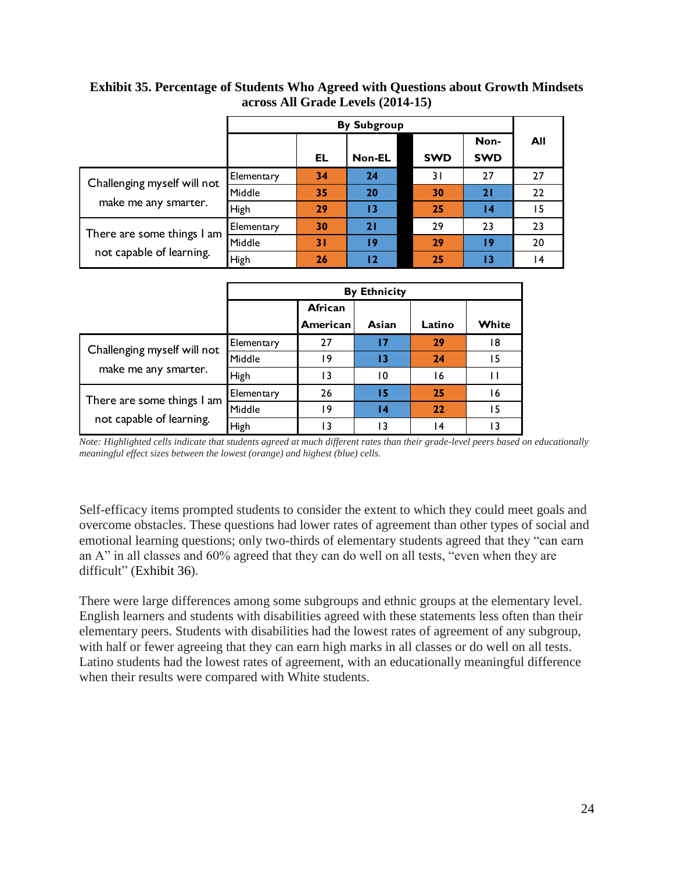|            |    |        |            | Non-               | AII             |
|------------|----|--------|------------|--------------------|-----------------|
|            | EL | Non-EL | <b>SWD</b> | <b>SWD</b>         |                 |
| Elementary | 34 | 24     | 3 I        | 27                 | 27              |
| Middle     | 35 | 20     | 30         | 21                 | 22              |
| High       | 29 | 13     | 25         | $\overline{14}$    | 15              |
| Elementary | 30 | 21     | 29         | 23                 | 23              |
| Middle     | 31 | 19     | 29         | 19                 | 20              |
| High       | 26 | 12     | 25         | 13                 | $\overline{14}$ |
|            |    |        |            | <b>By Subgroup</b> |                 |

<span id="page-25-0"></span>**Exhibit 35. Percentage of Students Who Agreed with Questions about Growth Mindsets across All Grade Levels (2014-15)**

|                             | <b>By Ethnicity</b> |                     |       |        |       |  |  |
|-----------------------------|---------------------|---------------------|-------|--------|-------|--|--|
|                             |                     | African<br>American | Asian | Latino | White |  |  |
| Challenging myself will not | Elementary          | 27                  | 17    | 29     | 18    |  |  |
|                             | Middle              | ۱9                  | 13    | 24     | 15    |  |  |
| make me any smarter.        | High                | 13                  | 10    | 16     | Ħ     |  |  |
| There are some things I am  | Elementary          | 26                  | 15    | 25     | 16    |  |  |
| not capable of learning.    | Middle              | 19                  | 14    | 22     | 15    |  |  |
|                             | High                | 13                  | 13    | 14     | ۱3    |  |  |

*Note: Highlighted cells indicate that students agreed at much different rates than their grade-level peers based on educationally meaningful effect sizes between the lowest (orange) and highest (blue) cells.*

Self-efficacy items prompted students to consider the extent to which they could meet goals and overcome obstacles. These questions had lower rates of agreement than other types of social and emotional learning questions; only two-thirds of elementary students agreed that they "can earn an A" in all classes and 60% agreed that they can do well on all tests, "even when they are difficult" [\(Exhibit 36\)](#page-26-0).

There were large differences among some subgroups and ethnic groups at the elementary level. English learners and students with disabilities agreed with these statements less often than their elementary peers. Students with disabilities had the lowest rates of agreement of any subgroup, with half or fewer agreeing that they can earn high marks in all classes or do well on all tests. Latino students had the lowest rates of agreement, with an educationally meaningful difference when their results were compared with White students.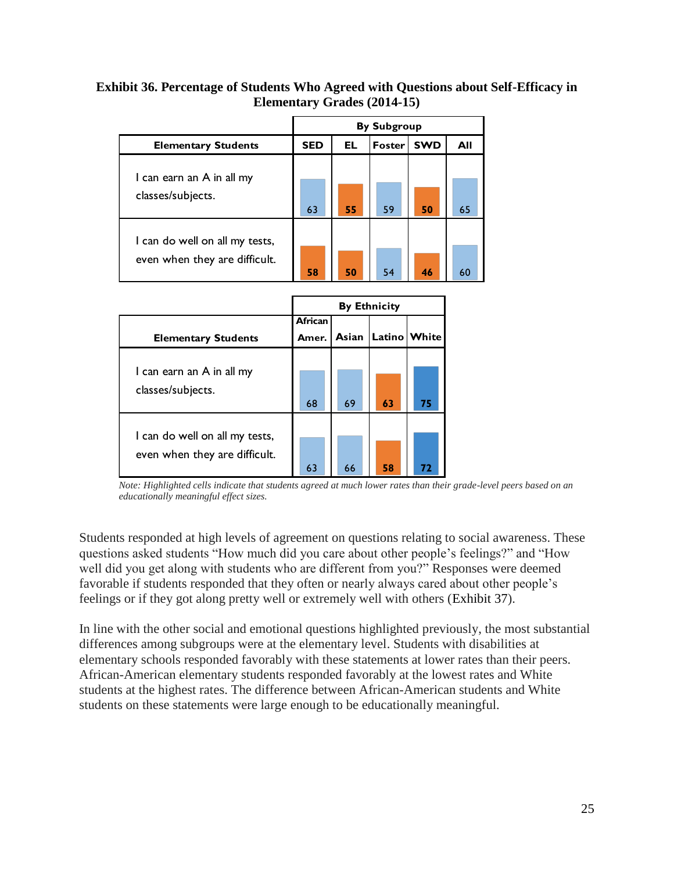## <span id="page-26-0"></span>**Exhibit 36. Percentage of Students Who Agreed with Questions about Self-Efficacy in Elementary Grades (2014-15)**

|                                                                 | <b>By Subgroup</b> |     |               |            |     |  |  |
|-----------------------------------------------------------------|--------------------|-----|---------------|------------|-----|--|--|
| <b>Elementary Students</b>                                      | <b>SED</b>         | EL. | <b>Foster</b> | <b>SWD</b> | All |  |  |
| I can earn an A in all my<br>classes/subjects.                  | 63                 | 55  | 59            | 50         | 65  |  |  |
| I can do well on all my tests,<br>even when they are difficult. | 58                 | 50  | 54            | 46         | 60  |  |  |

|                                                                 | <b>By Ethnicity</b> |       |        |       |  |  |  |
|-----------------------------------------------------------------|---------------------|-------|--------|-------|--|--|--|
|                                                                 | <b>African</b>      |       |        |       |  |  |  |
| <b>Elementary Students</b>                                      | Amer.               | Asian | Latino | White |  |  |  |
| I can earn an A in all my<br>classes/subjects.                  | 68                  | 69    | 63     | 75    |  |  |  |
| I can do well on all my tests,<br>even when they are difficult. | 63                  | 66    | 58     | 72    |  |  |  |

*Note: Highlighted cells indicate that students agreed at much lower rates than their grade-level peers based on an educationally meaningful effect sizes.*

Students responded at high levels of agreement on questions relating to social awareness. These questions asked students "How much did you care about other people's feelings?" and "How well did you get along with students who are different from you?" Responses were deemed favorable if students responded that they often or nearly always cared about other people's feelings or if they got along pretty well or extremely well with others [\(Exhibit 37\)](#page-27-0).

In line with the other social and emotional questions highlighted previously, the most substantial differences among subgroups were at the elementary level. Students with disabilities at elementary schools responded favorably with these statements at lower rates than their peers. African-American elementary students responded favorably at the lowest rates and White students at the highest rates. The difference between African-American students and White students on these statements were large enough to be educationally meaningful.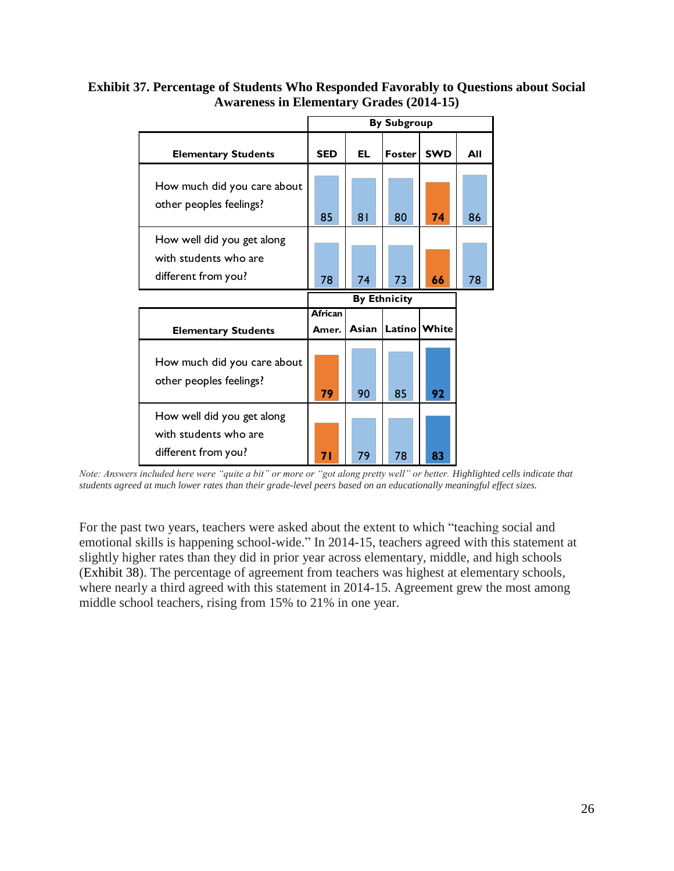|                                                                            | <b>By Subgroup</b>      |       |          |            |     |  |
|----------------------------------------------------------------------------|-------------------------|-------|----------|------------|-----|--|
| <b>Elementary Students</b>                                                 | <b>SED</b>              | EL    | Foster   | <b>SWD</b> | All |  |
| How much did you care about<br>other peoples feelings?                     | 85                      | 81    | 80       | 74         | 86  |  |
| How well did you get along<br>with students who are<br>different from you? | 78                      | 74    | 73       | 66         | 78  |  |
|                                                                            | <b>By Ethnicity</b>     |       |          |            |     |  |
|                                                                            |                         |       |          |            |     |  |
| <b>Elementary Students</b>                                                 | <b>African</b><br>Amer. | Asian | Latino l | White      |     |  |
| How much did you care about<br>other peoples feelings?                     | 79                      | 90    | 85       | 92         |     |  |

## <span id="page-27-0"></span>**Exhibit 37. Percentage of Students Who Responded Favorably to Questions about Social Awareness in Elementary Grades (2014-15)**

*Note: Answers included here were "quite a bit" or more or "got along pretty well" or better. Highlighted cells indicate that students agreed at much lower rates than their grade-level peers based on an educationally meaningful effect sizes.*

For the past two years, teachers were asked about the extent to which "teaching social and emotional skills is happening school-wide." In 2014-15, teachers agreed with this statement at slightly higher rates than they did in prior year across elementary, middle, and high schools [\(Exhibit 38\)](#page-28-0). The percentage of agreement from teachers was highest at elementary schools, where nearly a third agreed with this statement in 2014-15. Agreement grew the most among middle school teachers, rising from 15% to 21% in one year.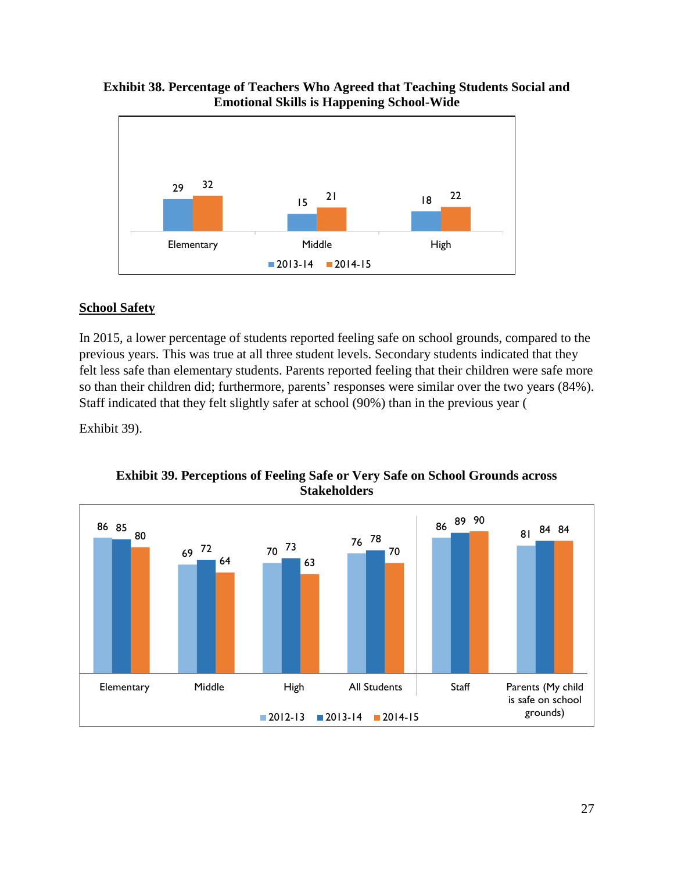## <span id="page-28-0"></span>**Exhibit 38. Percentage of Teachers Who Agreed that Teaching Students Social and Emotional Skills is Happening School-Wide**



# **School Safety**

In 2015, a lower percentage of students reported feeling safe on school grounds, compared to the previous years. This was true at all three student levels. Secondary students indicated that they felt less safe than elementary students. Parents reported feeling that their children were safe more so than their children did; furthermore, parents' responses were similar over the two years (84%). Staff indicated that they felt slightly safer at school (90%) than in the previous year [\(](#page-28-1)

<span id="page-28-1"></span>[Exhibit](#page-28-1) 39).

**Exhibit 39. Perceptions of Feeling Safe or Very Safe on School Grounds across Stakeholders**

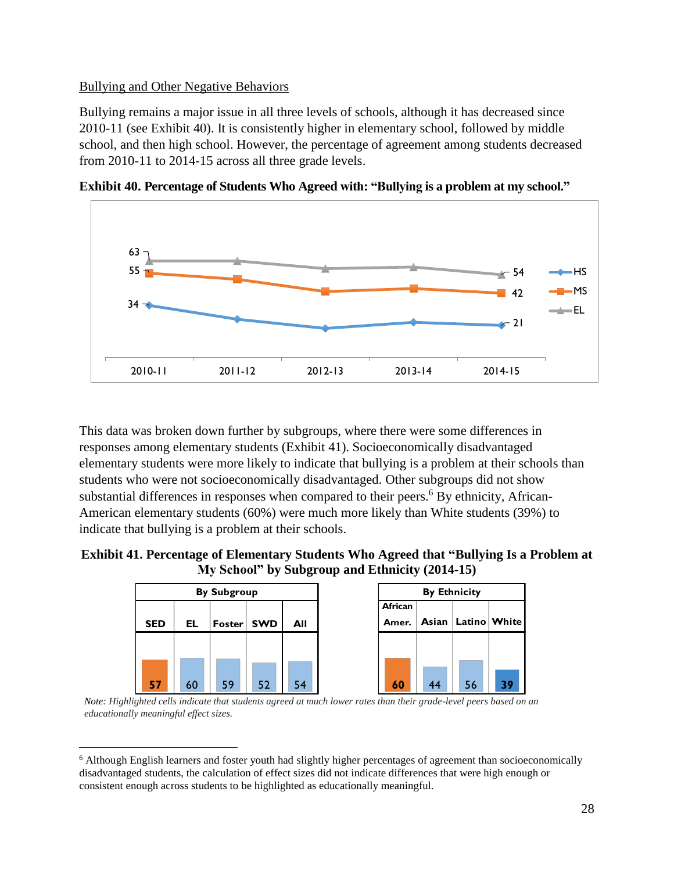## Bullying and Other Negative Behaviors

 $\overline{a}$ 

Bullying remains a major issue in all three levels of schools, although it has decreased since 2010-11 (see [Exhibit 40\)](#page-29-0). It is consistently higher in elementary school, followed by middle school, and then high school. However, the percentage of agreement among students decreased from 2010-11 to 2014-15 across all three grade levels.



<span id="page-29-0"></span>**Exhibit 40. Percentage of Students Who Agreed with: "Bullying is a problem at my school."**

This data was broken down further by subgroups, where there were some differences in responses among elementary students [\(Exhibit 41\)](#page-29-1). Socioeconomically disadvantaged elementary students were more likely to indicate that bullying is a problem at their schools than students who were not socioeconomically disadvantaged. Other subgroups did not show substantial differences in responses when compared to their peers.<sup>6</sup> By ethnicity, African-American elementary students (60%) were much more likely than White students (39%) to indicate that bullying is a problem at their schools.

<span id="page-29-1"></span>

|            |     | <b>By Subgroup</b> |            |     |                  |    | <b>By Ethnicity</b>    |    |
|------------|-----|--------------------|------------|-----|------------------|----|------------------------|----|
| <b>SED</b> | EL. | Foster             | <b>SWD</b> | All | African<br>Amer. |    | Asian   Latino   White |    |
|            |     |                    |            |     |                  |    |                        |    |
| 57         | 60  | 59                 | 52         | 54  | 60               | 44 | 56                     | 39 |

*Note: Highlighted cells indicate that students agreed at much lower rates than their grade-level peers based on an educationally meaningful effect sizes.*

<sup>6</sup> Although English learners and foster youth had slightly higher percentages of agreement than socioeconomically disadvantaged students, the calculation of effect sizes did not indicate differences that were high enough or consistent enough across students to be highlighted as educationally meaningful.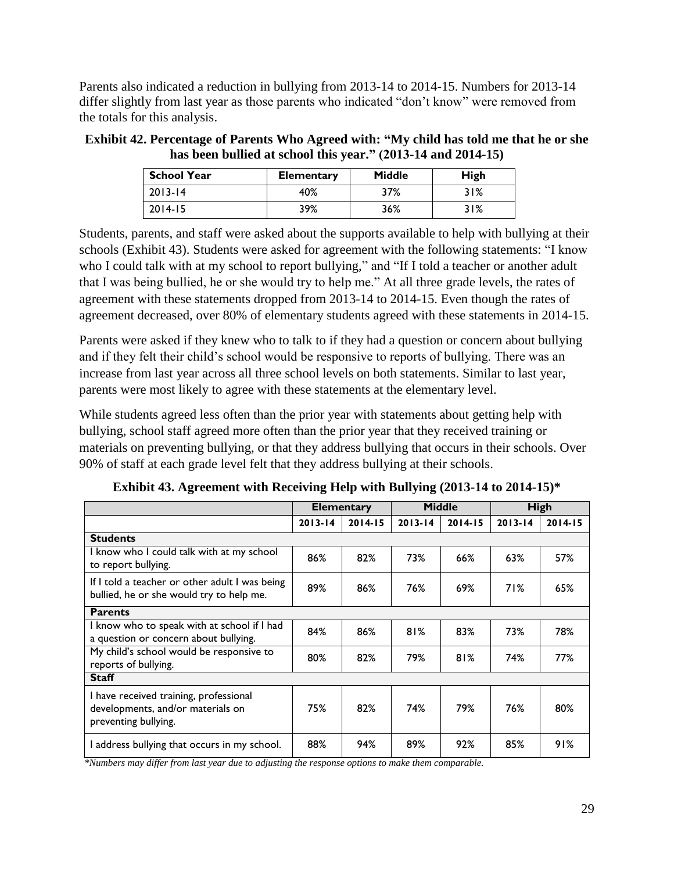Parents also indicated a reduction in bullying from 2013-14 to 2014-15. Numbers for 2013-14 differ slightly from last year as those parents who indicated "don't know" were removed from the totals for this analysis.

| <b>Exhibit 42. Percentage of Parents Who Agreed with: "My child has told me that he or she</b> |
|------------------------------------------------------------------------------------------------|
| has been bullied at school this year." (2013-14 and 2014-15)                                   |

| <b>School Year</b> | <b>Elementary</b> | <b>Middle</b> | High |
|--------------------|-------------------|---------------|------|
| $2013 - 14$        | 40%               | 37%           | 31%  |
| $2014 - 15$        | 39%               | 36%           | 31%  |

Students, parents, and staff were asked about the supports available to help with bullying at their schools [\(Exhibit 43\)](#page-30-0). Students were asked for agreement with the following statements: "I know who I could talk with at my school to report bullying," and "If I told a teacher or another adult that I was being bullied, he or she would try to help me." At all three grade levels, the rates of agreement with these statements dropped from 2013-14 to 2014-15. Even though the rates of agreement decreased, over 80% of elementary students agreed with these statements in 2014-15.

Parents were asked if they knew who to talk to if they had a question or concern about bullying and if they felt their child's school would be responsive to reports of bullying. There was an increase from last year across all three school levels on both statements. Similar to last year, parents were most likely to agree with these statements at the elementary level.

While students agreed less often than the prior year with statements about getting help with bullying, school staff agreed more often than the prior year that they received training or materials on preventing bullying, or that they address bullying that occurs in their schools. Over 90% of staff at each grade level felt that they address bullying at their schools.

<span id="page-30-0"></span>

|                                                                                                     | <b>Middle</b><br><b>Elementary</b> |             |             |             | High        |             |
|-----------------------------------------------------------------------------------------------------|------------------------------------|-------------|-------------|-------------|-------------|-------------|
|                                                                                                     | $2013 - 14$                        | $2014 - 15$ | $2013 - 14$ | $2014 - 15$ | $2013 - 14$ | $2014 - 15$ |
| <b>Students</b>                                                                                     |                                    |             |             |             |             |             |
| I know who I could talk with at my school<br>to report bullying.                                    | 86%                                | 82%         | 73%         | 66%         | 63%         | 57%         |
| If I told a teacher or other adult I was being<br>bullied, he or she would try to help me.          | 89%                                | 86%         | 76%         | 69%         | 71%         | 65%         |
| <b>Parents</b>                                                                                      |                                    |             |             |             |             |             |
| I know who to speak with at school if I had<br>a question or concern about bullying.                | 84%                                | 86%         | 81%         | 83%         | 73%         | 78%         |
| My child's school would be responsive to<br>reports of bullying.                                    | 80%                                | 82%         | 79%         | 81%         | 74%         | 77%         |
| <b>Staff</b>                                                                                        |                                    |             |             |             |             |             |
| I have received training, professional<br>developments, and/or materials on<br>preventing bullying. | 75%                                | 82%         | 74%         | 79%         | 76%         | 80%         |
| I address bullying that occurs in my school.                                                        | 88%                                | 94%         | 89%         | 92%         | 85%         | 91%         |

**Exhibit 43. Agreement with Receiving Help with Bullying (2013-14 to 2014-15)\***

*\*Numbers may differ from last year due to adjusting the response options to make them comparable.*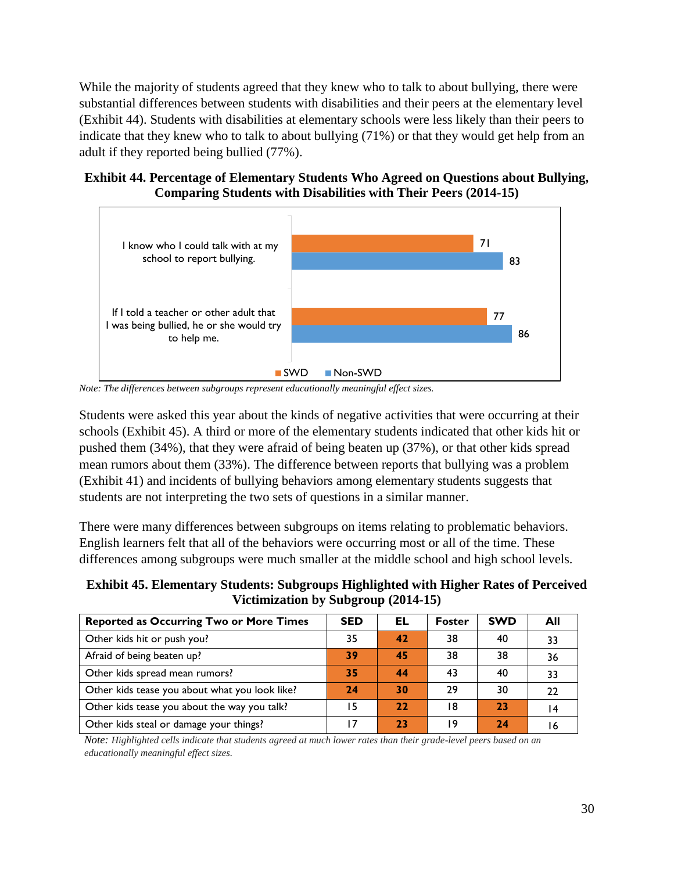While the majority of students agreed that they knew who to talk to about bullying, there were substantial differences between students with disabilities and their peers at the elementary level [\(Exhibit 44\)](#page-31-0). Students with disabilities at elementary schools were less likely than their peers to indicate that they knew who to talk to about bullying (71%) or that they would get help from an adult if they reported being bullied (77%).

## <span id="page-31-0"></span>**Exhibit 44. Percentage of Elementary Students Who Agreed on Questions about Bullying, Comparing Students with Disabilities with Their Peers (2014-15)**



*Note: The differences between subgroups represent educationally meaningful effect sizes.*

Students were asked this year about the kinds of negative activities that were occurring at their schools [\(Exhibit 45\)](#page-31-1). A third or more of the elementary students indicated that other kids hit or pushed them (34%), that they were afraid of being beaten up (37%), or that other kids spread mean rumors about them (33%). The difference between reports that bullying was a problem [\(Exhibit 41\)](#page-29-1) and incidents of bullying behaviors among elementary students suggests that students are not interpreting the two sets of questions in a similar manner.

There were many differences between subgroups on items relating to problematic behaviors. English learners felt that all of the behaviors were occurring most or all of the time. These differences among subgroups were much smaller at the middle school and high school levels.

<span id="page-31-1"></span>**Exhibit 45. Elementary Students: Subgroups Highlighted with Higher Rates of Perceived Victimization by Subgroup (2014-15)**

| <b>Reported as Occurring Two or More Times</b> | <b>SED</b> | EL | <b>Foster</b> | <b>SWD</b> | All |
|------------------------------------------------|------------|----|---------------|------------|-----|
| Other kids hit or push you?                    | 35         | 42 | 38            | 40         | 33  |
| Afraid of being beaten up?                     | 39         | 45 | 38            | 38         | 36  |
| Other kids spread mean rumors?                 | 35         | 44 | 43            | 40         | 33  |
| Other kids tease you about what you look like? | 24         | 30 | 29            | 30         | 22  |
| Other kids tease you about the way you talk?   |            | 22 | 18            | 23         |     |
| Other kids steal or damage your things?        |            | 23 | ۱9            | 24         |     |

*Note: Highlighted cells indicate that students agreed at much lower rates than their grade-level peers based on an educationally meaningful effect sizes.*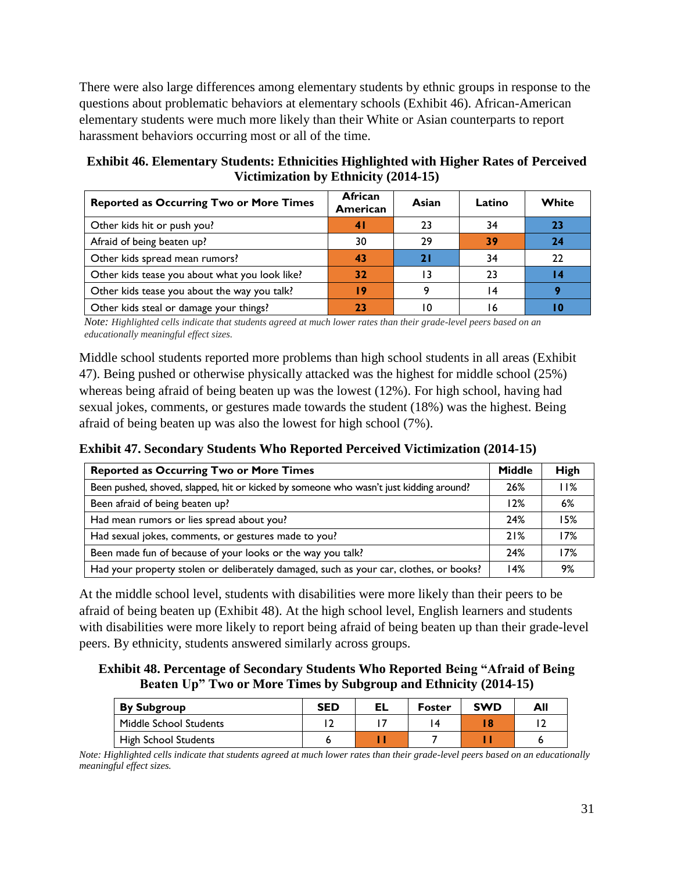There were also large differences among elementary students by ethnic groups in response to the questions about problematic behaviors at elementary schools [\(Exhibit 46\)](#page-32-0). African-American elementary students were much more likely than their White or Asian counterparts to report harassment behaviors occurring most or all of the time.

<span id="page-32-0"></span>**Exhibit 46. Elementary Students: Ethnicities Highlighted with Higher Rates of Perceived Victimization by Ethnicity (2014-15)**

| <b>Reported as Occurring Two or More Times</b> | <b>African</b><br>American | Asian | Latino | White |
|------------------------------------------------|----------------------------|-------|--------|-------|
| Other kids hit or push you?                    | $\overline{4}$             | 23    | 34     | 23    |
| Afraid of being beaten up?                     | 30                         | 29    | 39     | 24    |
| Other kids spread mean rumors?                 | 43                         | 21    | 34     | 22    |
| Other kids tease you about what you look like? | 32                         | ۱3    | 23     |       |
| Other kids tease you about the way you talk?   | 19                         |       |        |       |
| Other kids steal or damage your things?        | 71                         | ۱۵    |        |       |

*Note: Highlighted cells indicate that students agreed at much lower rates than their grade-level peers based on an educationally meaningful effect sizes.*

Middle school students reported more problems than high school students in all areas [\(Exhibit](#page-32-1)  [47\)](#page-32-1). Being pushed or otherwise physically attacked was the highest for middle school (25%) whereas being afraid of being beaten up was the lowest (12%). For high school, having had sexual jokes, comments, or gestures made towards the student (18%) was the highest. Being afraid of being beaten up was also the lowest for high school (7%).

<span id="page-32-1"></span>**Exhibit 47. Secondary Students Who Reported Perceived Victimization (2014-15)**

| <b>Reported as Occurring Two or More Times</b>                                         | <b>Middle</b> | High |
|----------------------------------------------------------------------------------------|---------------|------|
| Been pushed, shoved, slapped, hit or kicked by someone who wasn't just kidding around? | 26%           | 11%  |
| Been afraid of being beaten up?                                                        | 12%           | 6%   |
| Had mean rumors or lies spread about you?                                              | 24%           | 15%  |
| Had sexual jokes, comments, or gestures made to you?                                   | 21%           | 17%  |
| Been made fun of because of your looks or the way you talk?                            | 24%           | 17%  |
| Had your property stolen or deliberately damaged, such as your car, clothes, or books? | 14%           | 9%   |

At the middle school level, students with disabilities were more likely than their peers to be afraid of being beaten up [\(Exhibit 48\)](#page-32-2). At the high school level, English learners and students with disabilities were more likely to report being afraid of being beaten up than their grade-level peers. By ethnicity, students answered similarly across groups.

<span id="page-32-2"></span>**Exhibit 48. Percentage of Secondary Students Who Reported Being "Afraid of Being Beaten Up" Two or More Times by Subgroup and Ethnicity (2014-15)**

| <b>By Subgroup</b>          | <b>SED</b> | EL | <b>Foster</b> | <b>SWD</b> | All |
|-----------------------------|------------|----|---------------|------------|-----|
| Middle School Students      |            |    |               | 18         |     |
| <b>High School Students</b> |            |    |               |            |     |

*Note: Highlighted cells indicate that students agreed at much lower rates than their grade-level peers based on an educationally meaningful effect sizes.*